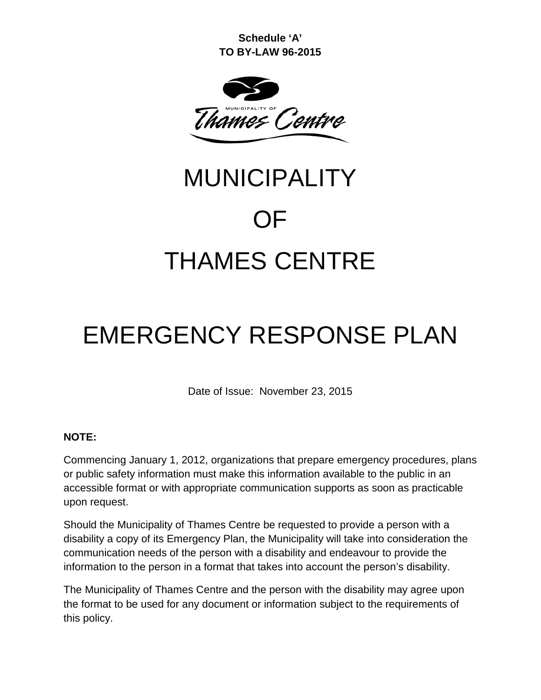**Schedule 'A' TO BY-LAW 96-2015**



# MUNICIPALITY OF THAMES CENTRE

# EMERGENCY RESPONSE PLAN

Date of Issue: November 23, 2015

#### **NOTE:**

Commencing January 1, 2012, organizations that prepare emergency procedures, plans or public safety information must make this information available to the public in an accessible format or with appropriate communication supports as soon as practicable upon request.

Should the Municipality of Thames Centre be requested to provide a person with a disability a copy of its Emergency Plan, the Municipality will take into consideration the communication needs of the person with a disability and endeavour to provide the information to the person in a format that takes into account the person's disability.

The Municipality of Thames Centre and the person with the disability may agree upon the format to be used for any document or information subject to the requirements of this policy.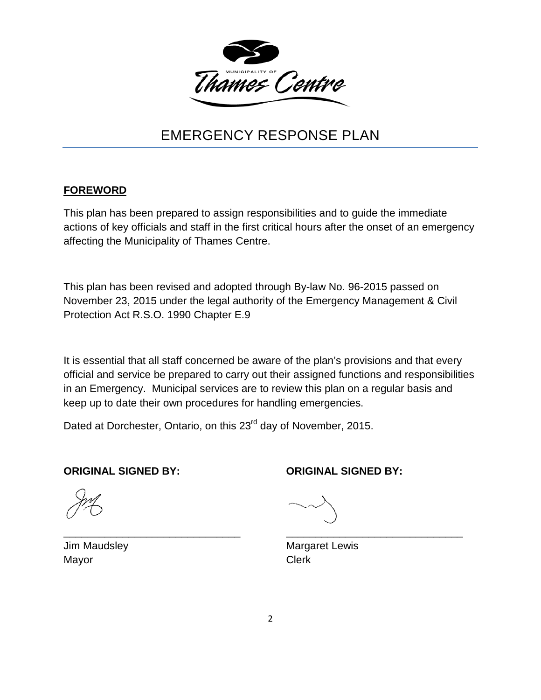

# EMERGENCY RESPONSE PLAN

#### **FOREWORD**

This plan has been prepared to assign responsibilities and to guide the immediate actions of key officials and staff in the first critical hours after the onset of an emergency affecting the Municipality of Thames Centre.

This plan has been revised and adopted through By-law No. 96-2015 passed on November 23, 2015 under the legal authority of the Emergency Management & Civil Protection Act R.S.O. 1990 Chapter E.9

It is essential that all staff concerned be aware of the plan's provisions and that every official and service be prepared to carry out their assigned functions and responsibilities in an Emergency. Municipal services are to review this plan on a regular basis and keep up to date their own procedures for handling emergencies.

Dated at Dorchester, Ontario, on this 23<sup>rd</sup> day of November, 2015.

**ORIGINAL SIGNED BY: ORIGINAL SIGNED BY:**

Mayor **Clerk** 

Jim Maudsley **Margaret Lewis** Margaret Lewis

\_\_\_\_\_\_\_\_\_\_\_\_\_\_\_\_\_\_\_\_\_\_\_\_\_\_\_\_\_\_ \_\_\_\_\_\_\_\_\_\_\_\_\_\_\_\_\_\_\_\_\_\_\_\_\_\_\_\_\_\_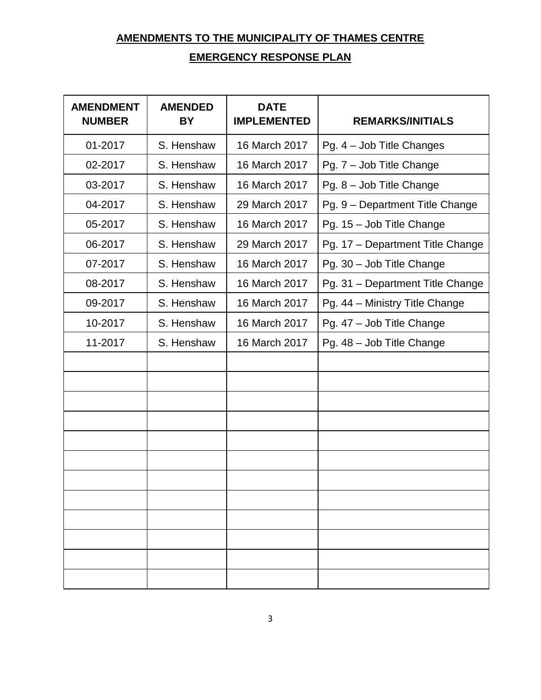# <span id="page-2-0"></span>**AMENDMENTS TO THE MUNICIPALITY OF THAMES CENTRE EMERGENCY RESPONSE PLAN**

<span id="page-2-1"></span>

| <b>AMENDMENT</b><br><b>NUMBER</b> | <b>AMENDED</b><br><b>BY</b> | <b>DATE</b><br><b>IMPLEMENTED</b> | <b>REMARKS/INITIALS</b>          |
|-----------------------------------|-----------------------------|-----------------------------------|----------------------------------|
| 01-2017                           | S. Henshaw                  | 16 March 2017                     | Pg. 4 - Job Title Changes        |
| 02-2017                           | S. Henshaw                  | 16 March 2017                     | Pg. 7 - Job Title Change         |
| 03-2017                           | S. Henshaw                  | 16 March 2017                     | Pg. 8 - Job Title Change         |
| 04-2017                           | S. Henshaw                  | 29 March 2017                     | Pg. 9 - Department Title Change  |
| 05-2017                           | S. Henshaw                  | 16 March 2017                     | Pg. 15 - Job Title Change        |
| 06-2017                           | S. Henshaw                  | 29 March 2017                     | Pg. 17 - Department Title Change |
| 07-2017                           | S. Henshaw                  | 16 March 2017                     | Pg. 30 - Job Title Change        |
| 08-2017                           | S. Henshaw                  | 16 March 2017                     | Pg. 31 - Department Title Change |
| 09-2017                           | S. Henshaw                  | 16 March 2017                     | Pg. 44 - Ministry Title Change   |
| 10-2017                           | S. Henshaw                  | 16 March 2017                     | Pg. 47 - Job Title Change        |
| 11-2017                           | S. Henshaw                  | 16 March 2017                     | Pg. 48 - Job Title Change        |
|                                   |                             |                                   |                                  |
|                                   |                             |                                   |                                  |
|                                   |                             |                                   |                                  |
|                                   |                             |                                   |                                  |
|                                   |                             |                                   |                                  |
|                                   |                             |                                   |                                  |
|                                   |                             |                                   |                                  |
|                                   |                             |                                   |                                  |
|                                   |                             |                                   |                                  |
|                                   |                             |                                   |                                  |
|                                   |                             |                                   |                                  |
|                                   |                             |                                   |                                  |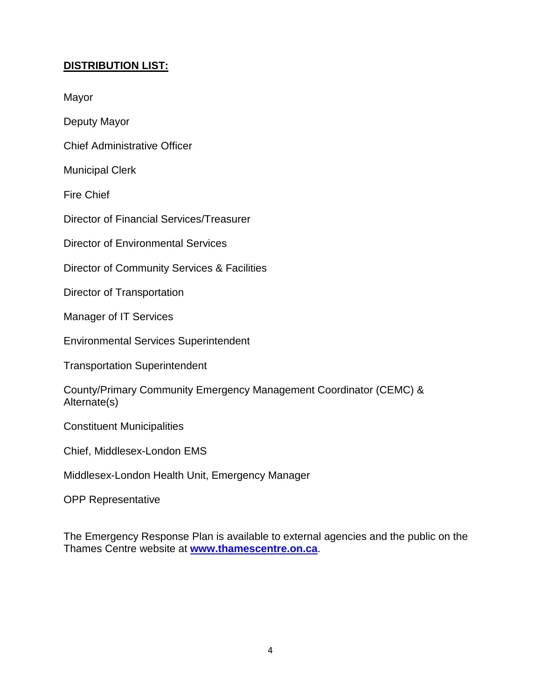#### <span id="page-3-0"></span>**DISTRIBUTION LIST:**

Mayor

Deputy Mayor

Chief Administrative Officer

Municipal Clerk

Fire Chief

Director of Financial Services/Treasurer

Director of Environmental Services

Director of Community Services & Facilities

Director of Transportation

Manager of IT Services

Environmental Services Superintendent

Transportation Superintendent

County/Primary Community Emergency Management Coordinator (CEMC) & Alternate(s)

Constituent Municipalities

Chief, Middlesex-London EMS

Middlesex-London Health Unit, Emergency Manager

OPP Representative

The Emergency Response Plan is available to external agencies and the public on the Thames Centre website at **www.thamescentre.on.ca**.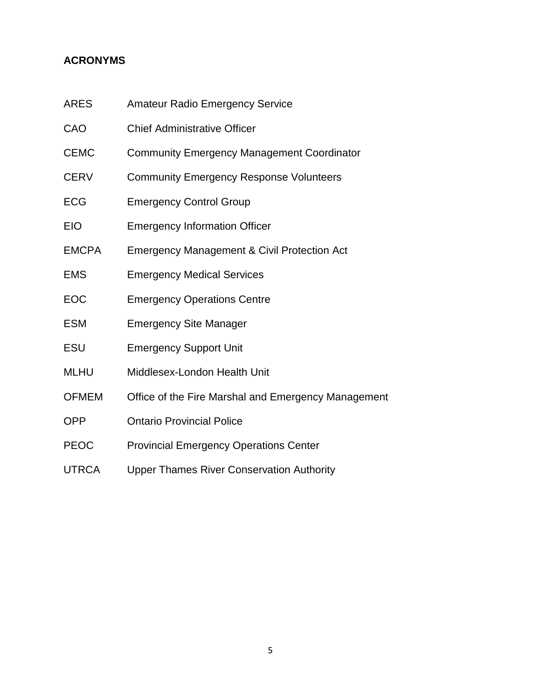#### <span id="page-4-0"></span>**ACRONYMS**

- ARES Amateur Radio Emergency Service
- CAO Chief Administrative Officer
- CEMC Community Emergency Management Coordinator
- CERV Community Emergency Response Volunteers
- ECG Emergency Control Group
- EIO Emergency Information Officer
- EMCPA Emergency Management & Civil Protection Act
- EMS Emergency Medical Services
- EOC Emergency Operations Centre
- ESM Emergency Site Manager
- ESU Emergency Support Unit
- MLHU Middlesex-London Health Unit
- OFMEM Office of the Fire Marshal and Emergency Management
- OPP Ontario Provincial Police
- PEOC Provincial Emergency Operations Center
- UTRCA Upper Thames River Conservation Authority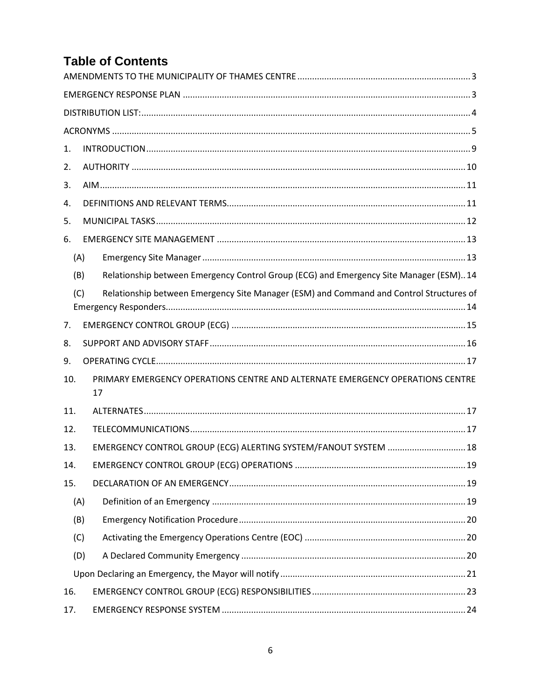# **Table of Contents**

| 1.  |     |                                                                                         |  |  |  |
|-----|-----|-----------------------------------------------------------------------------------------|--|--|--|
| 2.  |     |                                                                                         |  |  |  |
| 3.  |     |                                                                                         |  |  |  |
| 4.  |     |                                                                                         |  |  |  |
| 5.  |     |                                                                                         |  |  |  |
| 6.  |     |                                                                                         |  |  |  |
|     | (A) |                                                                                         |  |  |  |
|     | (B) | Relationship between Emergency Control Group (ECG) and Emergency Site Manager (ESM)14   |  |  |  |
| (C) |     | Relationship between Emergency Site Manager (ESM) and Command and Control Structures of |  |  |  |
| 7.  |     |                                                                                         |  |  |  |
| 8.  |     |                                                                                         |  |  |  |
| 9.  |     |                                                                                         |  |  |  |
| 10. |     | PRIMARY EMERGENCY OPERATIONS CENTRE AND ALTERNATE EMERGENCY OPERATIONS CENTRE<br>17     |  |  |  |
| 11. |     |                                                                                         |  |  |  |
| 12. |     |                                                                                         |  |  |  |
| 13. |     | EMERGENCY CONTROL GROUP (ECG) ALERTING SYSTEM/FANOUT SYSTEM  18                         |  |  |  |
| 14. |     |                                                                                         |  |  |  |
| 15. |     |                                                                                         |  |  |  |
|     | (A) |                                                                                         |  |  |  |
|     | (B) |                                                                                         |  |  |  |
|     | (C) |                                                                                         |  |  |  |
|     | (D) |                                                                                         |  |  |  |
|     |     |                                                                                         |  |  |  |
| 16. |     |                                                                                         |  |  |  |
| 17. |     |                                                                                         |  |  |  |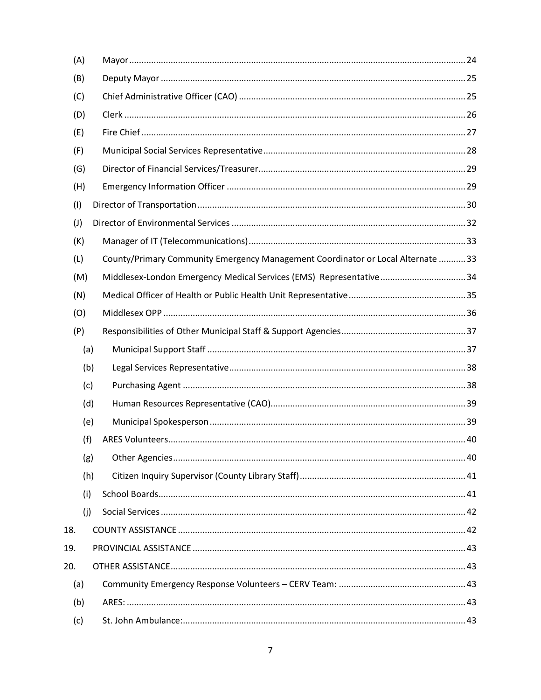| (A)            |     |                                                                                  |  |
|----------------|-----|----------------------------------------------------------------------------------|--|
| (B)            |     |                                                                                  |  |
| (C)            |     |                                                                                  |  |
| (D)            |     |                                                                                  |  |
| (E)            |     |                                                                                  |  |
| (F)            |     |                                                                                  |  |
| (G)            |     |                                                                                  |  |
| (H)            |     |                                                                                  |  |
| (1)            |     |                                                                                  |  |
| $(\mathsf{J})$ |     |                                                                                  |  |
| (K)            |     |                                                                                  |  |
| (L)            |     | County/Primary Community Emergency Management Coordinator or Local Alternate  33 |  |
| (M)            |     | Middlesex-London Emergency Medical Services (EMS) Representative34               |  |
| (N)            |     |                                                                                  |  |
| (O)            |     |                                                                                  |  |
| (P)            |     |                                                                                  |  |
|                | (a) |                                                                                  |  |
|                | (b) |                                                                                  |  |
|                | (c) |                                                                                  |  |
|                | (d) |                                                                                  |  |
|                | (e) |                                                                                  |  |
|                | (f) |                                                                                  |  |
|                | (g) |                                                                                  |  |
|                | (h) |                                                                                  |  |
|                | (i) |                                                                                  |  |
|                | (j) |                                                                                  |  |
| 18.            |     |                                                                                  |  |
| 19.            |     |                                                                                  |  |
| 20.            |     |                                                                                  |  |
| (a)            |     |                                                                                  |  |
| (b)            |     |                                                                                  |  |
| (c)            |     |                                                                                  |  |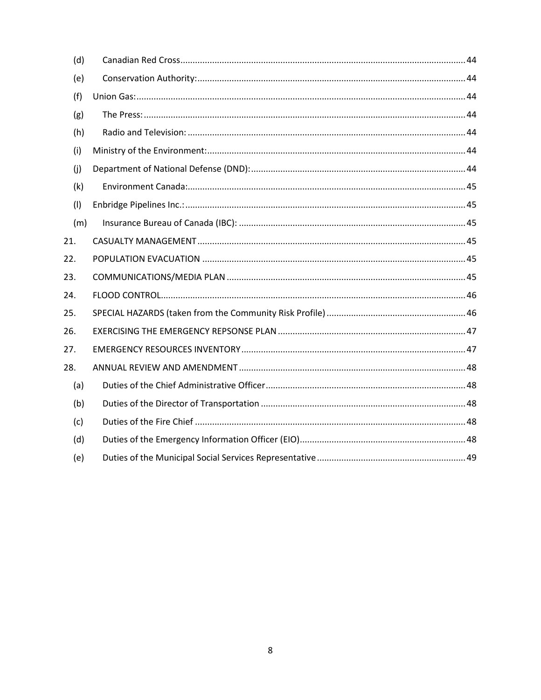| (d) |  |
|-----|--|
| (e) |  |
| (f) |  |
| (g) |  |
| (h) |  |
| (i) |  |
| (i) |  |
| (k) |  |
| (1) |  |
| (m) |  |
| 21. |  |
| 22. |  |
| 23. |  |
| 24. |  |
| 25. |  |
| 26. |  |
| 27. |  |
| 28. |  |
| (a) |  |
| (b) |  |
| (c) |  |
| (d) |  |
| (e) |  |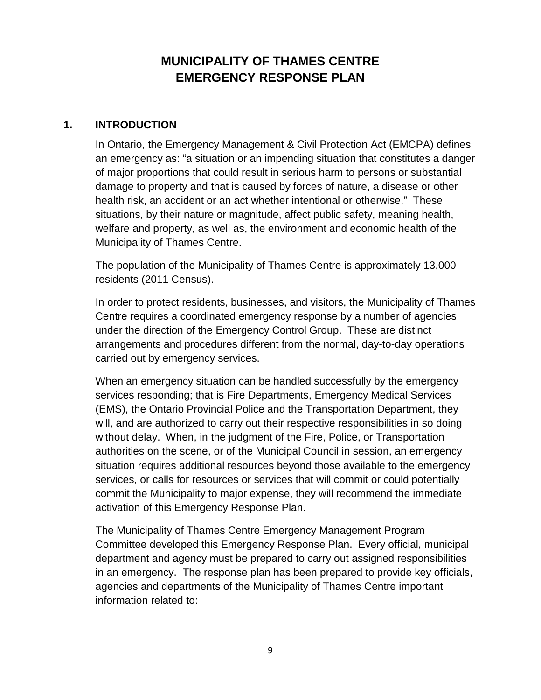## **MUNICIPALITY OF THAMES CENTRE EMERGENCY RESPONSE PLAN**

#### <span id="page-8-0"></span>**1. INTRODUCTION**

In Ontario, the Emergency Management & Civil Protection Act (EMCPA) defines an emergency as: "a situation or an impending situation that constitutes a danger of major proportions that could result in serious harm to persons or substantial damage to property and that is caused by forces of nature, a disease or other health risk, an accident or an act whether intentional or otherwise." These situations, by their nature or magnitude, affect public safety, meaning health, welfare and property, as well as, the environment and economic health of the Municipality of Thames Centre.

The population of the Municipality of Thames Centre is approximately 13,000 residents (2011 Census).

In order to protect residents, businesses, and visitors, the Municipality of Thames Centre requires a coordinated emergency response by a number of agencies under the direction of the Emergency Control Group. These are distinct arrangements and procedures different from the normal, day-to-day operations carried out by emergency services.

When an emergency situation can be handled successfully by the emergency services responding; that is Fire Departments, Emergency Medical Services (EMS), the Ontario Provincial Police and the Transportation Department, they will, and are authorized to carry out their respective responsibilities in so doing without delay. When, in the judgment of the Fire, Police, or Transportation authorities on the scene, or of the Municipal Council in session, an emergency situation requires additional resources beyond those available to the emergency services, or calls for resources or services that will commit or could potentially commit the Municipality to major expense, they will recommend the immediate activation of this Emergency Response Plan.

The Municipality of Thames Centre Emergency Management Program Committee developed this Emergency Response Plan. Every official, municipal department and agency must be prepared to carry out assigned responsibilities in an emergency. The response plan has been prepared to provide key officials, agencies and departments of the Municipality of Thames Centre important information related to: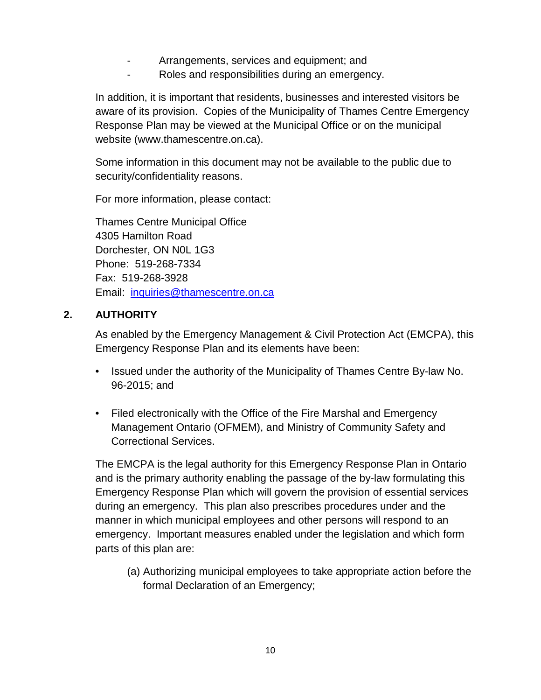- Arrangements, services and equipment; and
- Roles and responsibilities during an emergency.

In addition, it is important that residents, businesses and interested visitors be aware of its provision. Copies of the Municipality of Thames Centre Emergency Response Plan may be viewed at the Municipal Office or on the municipal website (www.thamescentre.on.ca).

Some information in this document may not be available to the public due to security/confidentiality reasons.

For more information, please contact:

Thames Centre Municipal Office 4305 Hamilton Road Dorchester, ON N0L 1G3 Phone: 519-268-7334 Fax: 519-268-3928 Email: [inquiries@thamescentre.on.ca](mailto:inquiries@thamescentre.on.ca)

#### <span id="page-9-0"></span>**2. AUTHORITY**

As enabled by the Emergency Management & Civil Protection Act (EMCPA), this Emergency Response Plan and its elements have been:

- Issued under the authority of the Municipality of Thames Centre By-law No. 96-2015; and
- Filed electronically with the Office of the Fire Marshal and Emergency Management Ontario (OFMEM), and Ministry of Community Safety and Correctional Services.

The EMCPA is the legal authority for this Emergency Response Plan in Ontario and is the primary authority enabling the passage of the by-law formulating this Emergency Response Plan which will govern the provision of essential services during an emergency. This plan also prescribes procedures under and the manner in which municipal employees and other persons will respond to an emergency. Important measures enabled under the legislation and which form parts of this plan are:

(a) Authorizing municipal employees to take appropriate action before the formal Declaration of an Emergency;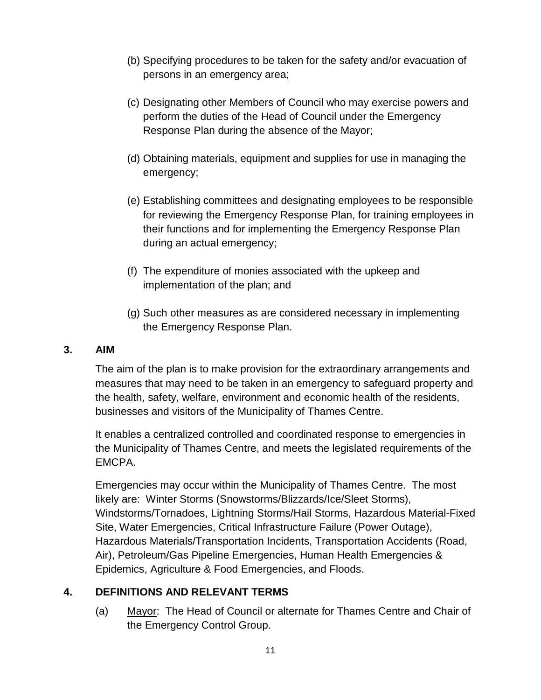- (b) Specifying procedures to be taken for the safety and/or evacuation of persons in an emergency area;
- (c) Designating other Members of Council who may exercise powers and perform the duties of the Head of Council under the Emergency Response Plan during the absence of the Mayor;
- (d) Obtaining materials, equipment and supplies for use in managing the emergency;
- (e) Establishing committees and designating employees to be responsible for reviewing the Emergency Response Plan, for training employees in their functions and for implementing the Emergency Response Plan during an actual emergency;
- (f) The expenditure of monies associated with the upkeep and implementation of the plan; and
- (g) Such other measures as are considered necessary in implementing the Emergency Response Plan.

#### <span id="page-10-0"></span>**3. AIM**

The aim of the plan is to make provision for the extraordinary arrangements and measures that may need to be taken in an emergency to safeguard property and the health, safety, welfare, environment and economic health of the residents, businesses and visitors of the Municipality of Thames Centre.

It enables a centralized controlled and coordinated response to emergencies in the Municipality of Thames Centre, and meets the legislated requirements of the EMCPA.

Emergencies may occur within the Municipality of Thames Centre. The most likely are: Winter Storms (Snowstorms/Blizzards/Ice/Sleet Storms), Windstorms/Tornadoes, Lightning Storms/Hail Storms, Hazardous Material-Fixed Site, Water Emergencies, Critical Infrastructure Failure (Power Outage), Hazardous Materials/Transportation Incidents, Transportation Accidents (Road, Air), Petroleum/Gas Pipeline Emergencies, Human Health Emergencies & Epidemics, Agriculture & Food Emergencies, and Floods.

#### <span id="page-10-1"></span>**4. DEFINITIONS AND RELEVANT TERMS**

(a) Mayor: The Head of Council or alternate for Thames Centre and Chair of the Emergency Control Group.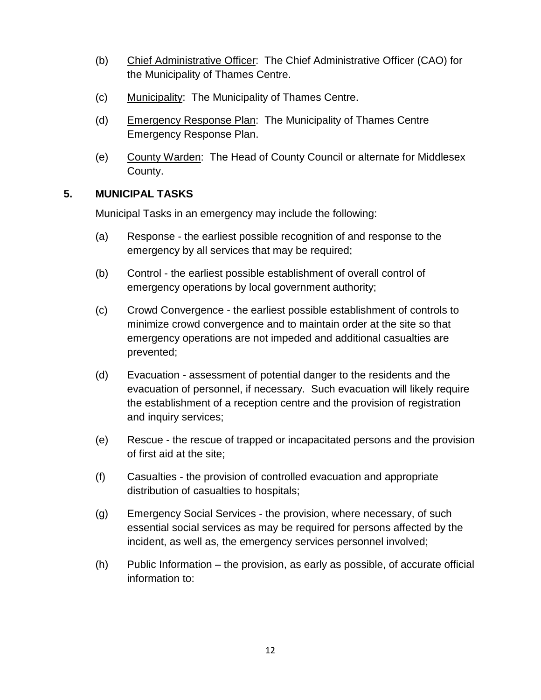- (b) Chief Administrative Officer: The Chief Administrative Officer (CAO) for the Municipality of Thames Centre.
- (c) Municipality: The Municipality of Thames Centre.
- (d) Emergency Response Plan: The Municipality of Thames Centre Emergency Response Plan.
- (e) County Warden: The Head of County Council or alternate for Middlesex County.

#### <span id="page-11-0"></span>**5. MUNICIPAL TASKS**

Municipal Tasks in an emergency may include the following:

- (a) Response the earliest possible recognition of and response to the emergency by all services that may be required;
- (b) Control the earliest possible establishment of overall control of emergency operations by local government authority;
- (c) Crowd Convergence the earliest possible establishment of controls to minimize crowd convergence and to maintain order at the site so that emergency operations are not impeded and additional casualties are prevented;
- (d) Evacuation assessment of potential danger to the residents and the evacuation of personnel, if necessary. Such evacuation will likely require the establishment of a reception centre and the provision of registration and inquiry services;
- (e) Rescue the rescue of trapped or incapacitated persons and the provision of first aid at the site;
- (f) Casualties the provision of controlled evacuation and appropriate distribution of casualties to hospitals;
- (g) Emergency Social Services the provision, where necessary, of such essential social services as may be required for persons affected by the incident, as well as, the emergency services personnel involved;
- (h) Public Information the provision, as early as possible, of accurate official information to: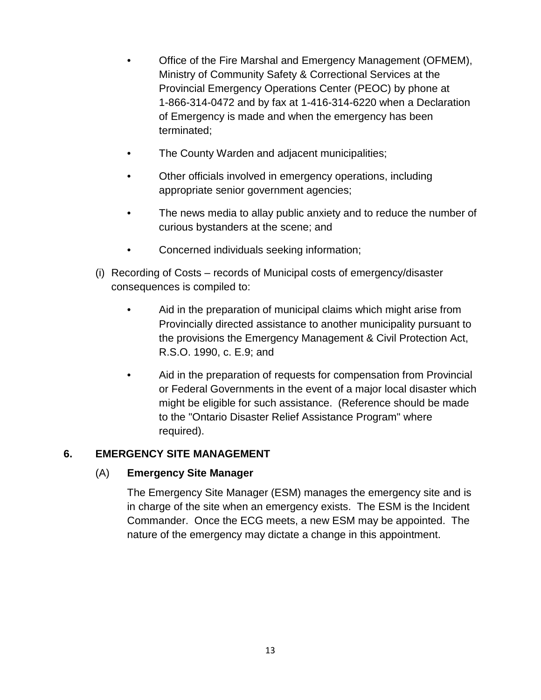- Office of the Fire Marshal and Emergency Management (OFMEM), Ministry of Community Safety & Correctional Services at the Provincial Emergency Operations Center (PEOC) by phone at 1-866-314-0472 and by fax at 1-416-314-6220 when a Declaration of Emergency is made and when the emergency has been terminated;
- The County Warden and adjacent municipalities;
- Other officials involved in emergency operations, including appropriate senior government agencies;
- The news media to allay public anxiety and to reduce the number of curious bystanders at the scene; and
- Concerned individuals seeking information;
- (i) Recording of Costs records of Municipal costs of emergency/disaster consequences is compiled to:
	- Aid in the preparation of municipal claims which might arise from Provincially directed assistance to another municipality pursuant to the provisions the Emergency Management & Civil Protection Act, R.S.O. 1990, c. E.9; and
	- Aid in the preparation of requests for compensation from Provincial or Federal Governments in the event of a major local disaster which might be eligible for such assistance. (Reference should be made to the "Ontario Disaster Relief Assistance Program" where required).

#### <span id="page-12-1"></span><span id="page-12-0"></span>**6. EMERGENCY SITE MANAGEMENT**

#### (A) **Emergency Site Manager**

The Emergency Site Manager (ESM) manages the emergency site and is in charge of the site when an emergency exists. The ESM is the Incident Commander. Once the ECG meets, a new ESM may be appointed. The nature of the emergency may dictate a change in this appointment.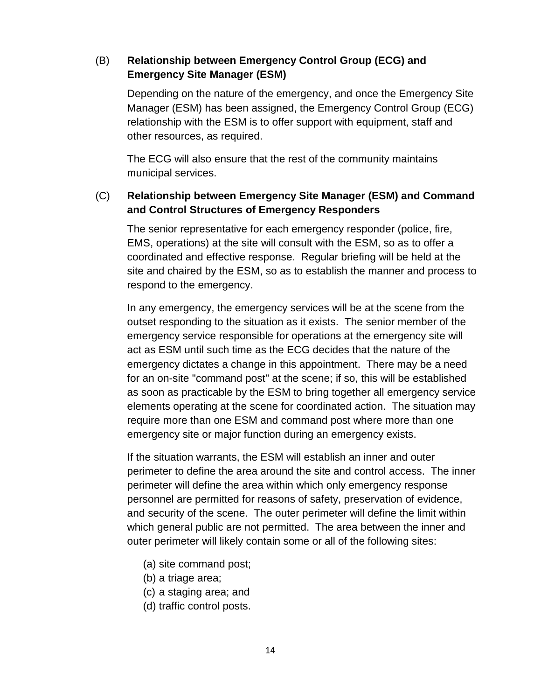#### <span id="page-13-0"></span>(B) **Relationship between Emergency Control Group (ECG) and Emergency Site Manager (ESM)**

Depending on the nature of the emergency, and once the Emergency Site Manager (ESM) has been assigned, the Emergency Control Group (ECG) relationship with the ESM is to offer support with equipment, staff and other resources, as required.

The ECG will also ensure that the rest of the community maintains municipal services.

#### <span id="page-13-1"></span>(C) **Relationship between Emergency Site Manager (ESM) and Command and Control Structures of Emergency Responders**

The senior representative for each emergency responder (police, fire, EMS, operations) at the site will consult with the ESM, so as to offer a coordinated and effective response. Regular briefing will be held at the site and chaired by the ESM, so as to establish the manner and process to respond to the emergency.

In any emergency, the emergency services will be at the scene from the outset responding to the situation as it exists. The senior member of the emergency service responsible for operations at the emergency site will act as ESM until such time as the ECG decides that the nature of the emergency dictates a change in this appointment. There may be a need for an on-site "command post" at the scene; if so, this will be established as soon as practicable by the ESM to bring together all emergency service elements operating at the scene for coordinated action. The situation may require more than one ESM and command post where more than one emergency site or major function during an emergency exists.

If the situation warrants, the ESM will establish an inner and outer perimeter to define the area around the site and control access. The inner perimeter will define the area within which only emergency response personnel are permitted for reasons of safety, preservation of evidence, and security of the scene. The outer perimeter will define the limit within which general public are not permitted. The area between the inner and outer perimeter will likely contain some or all of the following sites:

- (a) site command post;
- (b) a triage area;
- (c) a staging area; and
- (d) traffic control posts.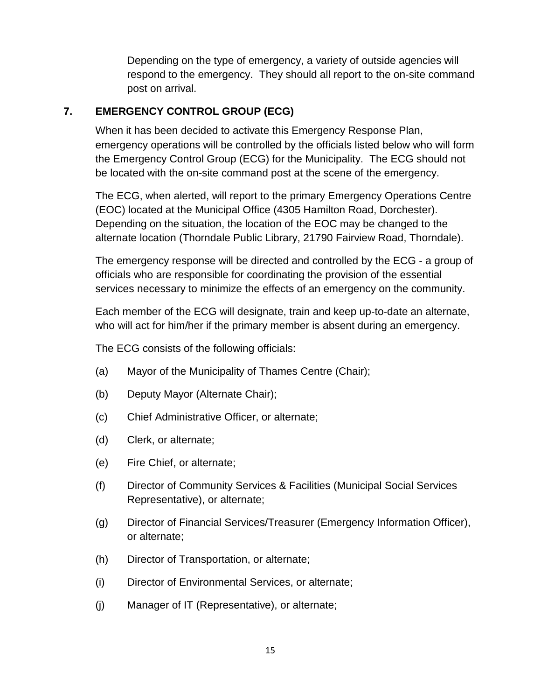Depending on the type of emergency, a variety of outside agencies will respond to the emergency. They should all report to the on-site command post on arrival.

#### <span id="page-14-0"></span>**7. EMERGENCY CONTROL GROUP (ECG)**

When it has been decided to activate this Emergency Response Plan, emergency operations will be controlled by the officials listed below who will form the Emergency Control Group (ECG) for the Municipality. The ECG should not be located with the on-site command post at the scene of the emergency.

The ECG, when alerted, will report to the primary Emergency Operations Centre (EOC) located at the Municipal Office (4305 Hamilton Road, Dorchester). Depending on the situation, the location of the EOC may be changed to the alternate location (Thorndale Public Library, 21790 Fairview Road, Thorndale).

The emergency response will be directed and controlled by the ECG - a group of officials who are responsible for coordinating the provision of the essential services necessary to minimize the effects of an emergency on the community.

Each member of the ECG will designate, train and keep up-to-date an alternate, who will act for him/her if the primary member is absent during an emergency.

The ECG consists of the following officials:

- (a) Mayor of the Municipality of Thames Centre (Chair);
- (b) Deputy Mayor (Alternate Chair);
- (c) Chief Administrative Officer, or alternate;
- (d) Clerk, or alternate;
- (e) Fire Chief, or alternate;
- (f) Director of Community Services & Facilities (Municipal Social Services Representative), or alternate;
- (g) Director of Financial Services/Treasurer (Emergency Information Officer), or alternate;
- (h) Director of Transportation, or alternate;
- (i) Director of Environmental Services, or alternate;
- (j) Manager of IT (Representative), or alternate;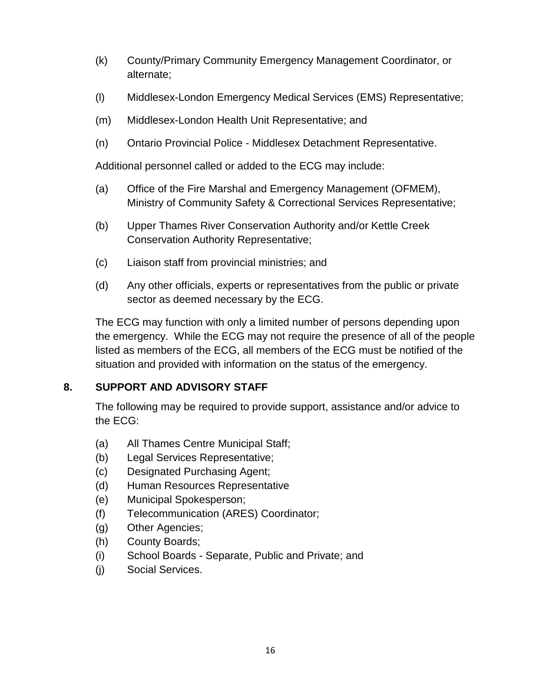- (k) County/Primary Community Emergency Management Coordinator, or alternate;
- (l) Middlesex-London Emergency Medical Services (EMS) Representative;
- (m) Middlesex-London Health Unit Representative; and
- (n) Ontario Provincial Police Middlesex Detachment Representative.

Additional personnel called or added to the ECG may include:

- (a) Office of the Fire Marshal and Emergency Management (OFMEM), Ministry of Community Safety & Correctional Services Representative;
- (b) Upper Thames River Conservation Authority and/or Kettle Creek Conservation Authority Representative;
- (c) Liaison staff from provincial ministries; and
- (d) Any other officials, experts or representatives from the public or private sector as deemed necessary by the ECG.

The ECG may function with only a limited number of persons depending upon the emergency. While the ECG may not require the presence of all of the people listed as members of the ECG, all members of the ECG must be notified of the situation and provided with information on the status of the emergency.

#### <span id="page-15-0"></span>**8. SUPPORT AND ADVISORY STAFF**

The following may be required to provide support, assistance and/or advice to the ECG:

- (a) All Thames Centre Municipal Staff;
- (b) Legal Services Representative;
- (c) Designated Purchasing Agent;
- (d) Human Resources Representative
- (e) Municipal Spokesperson;
- (f) Telecommunication (ARES) Coordinator;
- (g) Other Agencies;
- (h) County Boards;
- (i) School Boards Separate, Public and Private; and
- (j) Social Services.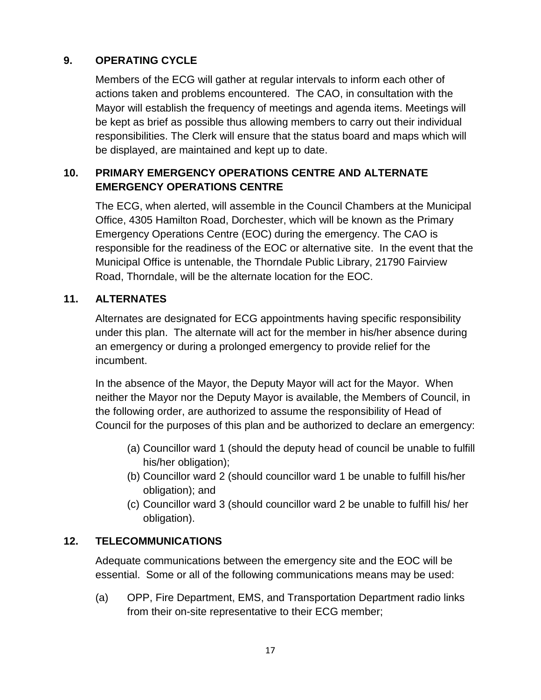### <span id="page-16-0"></span>**9. OPERATING CYCLE**

Members of the ECG will gather at regular intervals to inform each other of actions taken and problems encountered. The CAO, in consultation with the Mayor will establish the frequency of meetings and agenda items. Meetings will be kept as brief as possible thus allowing members to carry out their individual responsibilities. The Clerk will ensure that the status board and maps which will be displayed, are maintained and kept up to date.

#### <span id="page-16-1"></span>**10. PRIMARY EMERGENCY OPERATIONS CENTRE AND ALTERNATE EMERGENCY OPERATIONS CENTRE**

The ECG, when alerted, will assemble in the Council Chambers at the Municipal Office, 4305 Hamilton Road, Dorchester, which will be known as the Primary Emergency Operations Centre (EOC) during the emergency. The CAO is responsible for the readiness of the EOC or alternative site. In the event that the Municipal Office is untenable, the Thorndale Public Library, 21790 Fairview Road, Thorndale, will be the alternate location for the EOC.

#### <span id="page-16-2"></span>**11. ALTERNATES**

Alternates are designated for ECG appointments having specific responsibility under this plan. The alternate will act for the member in his/her absence during an emergency or during a prolonged emergency to provide relief for the incumbent.

In the absence of the Mayor, the Deputy Mayor will act for the Mayor. When neither the Mayor nor the Deputy Mayor is available, the Members of Council, in the following order, are authorized to assume the responsibility of Head of Council for the purposes of this plan and be authorized to declare an emergency:

- (a) Councillor ward 1 (should the deputy head of council be unable to fulfill his/her obligation);
- (b) Councillor ward 2 (should councillor ward 1 be unable to fulfill his/her obligation); and
- (c) Councillor ward 3 (should councillor ward 2 be unable to fulfill his/ her obligation).

#### <span id="page-16-3"></span>**12. TELECOMMUNICATIONS**

Adequate communications between the emergency site and the EOC will be essential. Some or all of the following communications means may be used:

(a) OPP, Fire Department, EMS, and Transportation Department radio links from their on-site representative to their ECG member;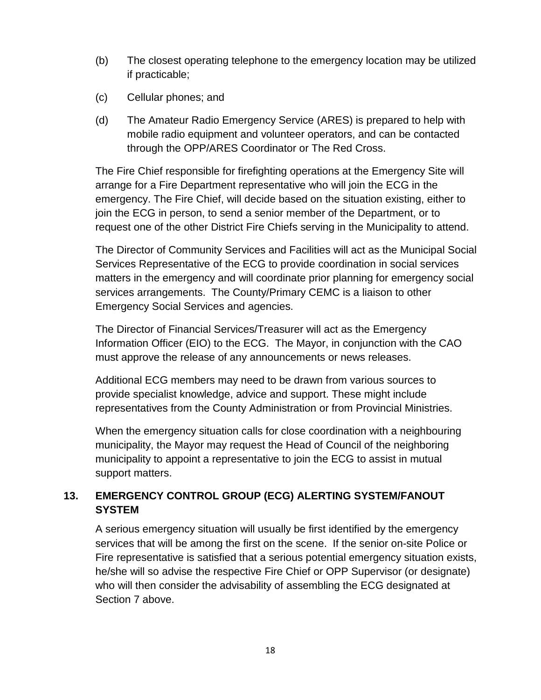- (b) The closest operating telephone to the emergency location may be utilized if practicable;
- (c) Cellular phones; and
- (d) The Amateur Radio Emergency Service (ARES) is prepared to help with mobile radio equipment and volunteer operators, and can be contacted through the OPP/ARES Coordinator or The Red Cross.

The Fire Chief responsible for firefighting operations at the Emergency Site will arrange for a Fire Department representative who will join the ECG in the emergency. The Fire Chief, will decide based on the situation existing, either to join the ECG in person, to send a senior member of the Department, or to request one of the other District Fire Chiefs serving in the Municipality to attend.

The Director of Community Services and Facilities will act as the Municipal Social Services Representative of the ECG to provide coordination in social services matters in the emergency and will coordinate prior planning for emergency social services arrangements. The County/Primary CEMC is a liaison to other Emergency Social Services and agencies.

The Director of Financial Services/Treasurer will act as the Emergency Information Officer (EIO) to the ECG. The Mayor, in conjunction with the CAO must approve the release of any announcements or news releases.

Additional ECG members may need to be drawn from various sources to provide specialist knowledge, advice and support. These might include representatives from the County Administration or from Provincial Ministries.

When the emergency situation calls for close coordination with a neighbouring municipality, the Mayor may request the Head of Council of the neighboring municipality to appoint a representative to join the ECG to assist in mutual support matters.

#### <span id="page-17-0"></span>**13. EMERGENCY CONTROL GROUP (ECG) ALERTING SYSTEM/FANOUT SYSTEM**

A serious emergency situation will usually be first identified by the emergency services that will be among the first on the scene. If the senior on-site Police or Fire representative is satisfied that a serious potential emergency situation exists, he/she will so advise the respective Fire Chief or OPP Supervisor (or designate) who will then consider the advisability of assembling the ECG designated at Section 7 above.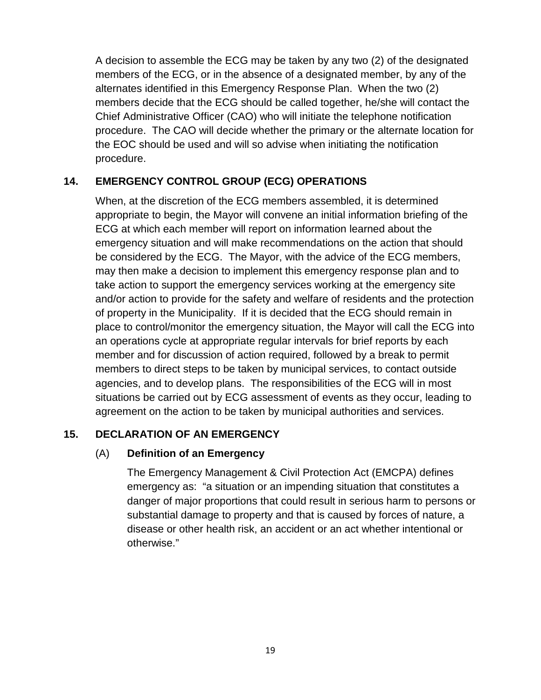A decision to assemble the ECG may be taken by any two (2) of the designated members of the ECG, or in the absence of a designated member, by any of the alternates identified in this Emergency Response Plan. When the two (2) members decide that the ECG should be called together, he/she will contact the Chief Administrative Officer (CAO) who will initiate the telephone notification procedure. The CAO will decide whether the primary or the alternate location for the EOC should be used and will so advise when initiating the notification procedure.

#### <span id="page-18-0"></span>**14. EMERGENCY CONTROL GROUP (ECG) OPERATIONS**

When, at the discretion of the ECG members assembled, it is determined appropriate to begin, the Mayor will convene an initial information briefing of the ECG at which each member will report on information learned about the emergency situation and will make recommendations on the action that should be considered by the ECG. The Mayor, with the advice of the ECG members, may then make a decision to implement this emergency response plan and to take action to support the emergency services working at the emergency site and/or action to provide for the safety and welfare of residents and the protection of property in the Municipality. If it is decided that the ECG should remain in place to control/monitor the emergency situation, the Mayor will call the ECG into an operations cycle at appropriate regular intervals for brief reports by each member and for discussion of action required, followed by a break to permit members to direct steps to be taken by municipal services, to contact outside agencies, and to develop plans. The responsibilities of the ECG will in most situations be carried out by ECG assessment of events as they occur, leading to agreement on the action to be taken by municipal authorities and services.

#### <span id="page-18-2"></span><span id="page-18-1"></span>**15. DECLARATION OF AN EMERGENCY**

#### (A) **Definition of an Emergency**

The Emergency Management & Civil Protection Act (EMCPA) defines emergency as: "a situation or an impending situation that constitutes a danger of major proportions that could result in serious harm to persons or substantial damage to property and that is caused by forces of nature, a disease or other health risk, an accident or an act whether intentional or otherwise."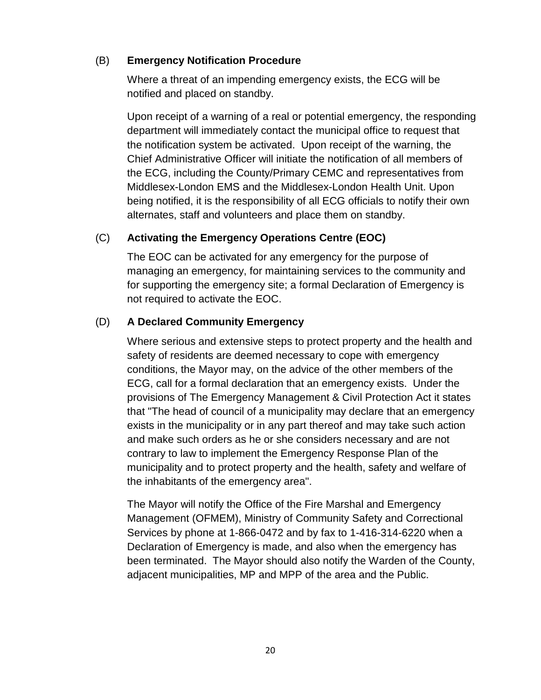#### <span id="page-19-0"></span>(B) **Emergency Notification Procedure**

Where a threat of an impending emergency exists, the ECG will be notified and placed on standby.

Upon receipt of a warning of a real or potential emergency, the responding department will immediately contact the municipal office to request that the notification system be activated. Upon receipt of the warning, the Chief Administrative Officer will initiate the notification of all members of the ECG, including the County/Primary CEMC and representatives from Middlesex-London EMS and the Middlesex-London Health Unit. Upon being notified, it is the responsibility of all ECG officials to notify their own alternates, staff and volunteers and place them on standby.

#### <span id="page-19-1"></span>(C) **Activating the Emergency Operations Centre (EOC)**

The EOC can be activated for any emergency for the purpose of managing an emergency, for maintaining services to the community and for supporting the emergency site; a formal Declaration of Emergency is not required to activate the EOC.

#### <span id="page-19-2"></span>(D) **A Declared Community Emergency**

Where serious and extensive steps to protect property and the health and safety of residents are deemed necessary to cope with emergency conditions, the Mayor may, on the advice of the other members of the ECG, call for a formal declaration that an emergency exists. Under the provisions of The Emergency Management & Civil Protection Act it states that "The head of council of a municipality may declare that an emergency exists in the municipality or in any part thereof and may take such action and make such orders as he or she considers necessary and are not contrary to law to implement the Emergency Response Plan of the municipality and to protect property and the health, safety and welfare of the inhabitants of the emergency area".

The Mayor will notify the Office of the Fire Marshal and Emergency Management (OFMEM), Ministry of Community Safety and Correctional Services by phone at 1-866-0472 and by fax to 1-416-314-6220 when a Declaration of Emergency is made, and also when the emergency has been terminated. The Mayor should also notify the Warden of the County, adjacent municipalities, MP and MPP of the area and the Public.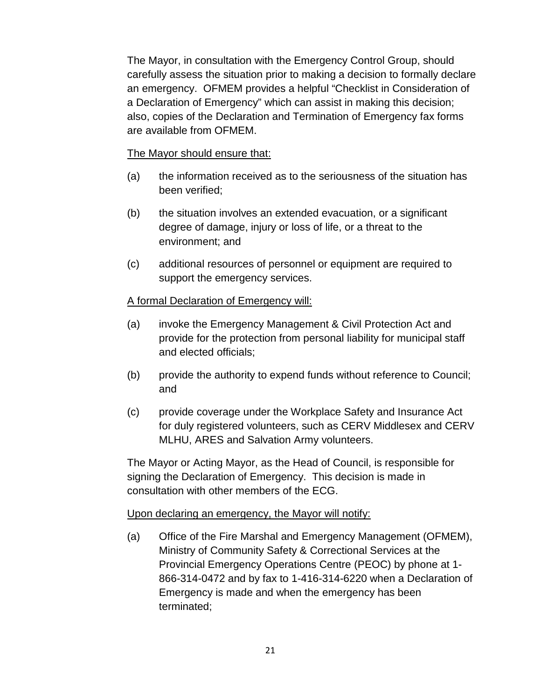The Mayor, in consultation with the Emergency Control Group, should carefully assess the situation prior to making a decision to formally declare an emergency. OFMEM provides a helpful "Checklist in Consideration of a Declaration of Emergency" which can assist in making this decision; also, copies of the Declaration and Termination of Emergency fax forms are available from OFMEM.

#### The Mayor should ensure that:

- (a) the information received as to the seriousness of the situation has been verified;
- (b) the situation involves an extended evacuation, or a significant degree of damage, injury or loss of life, or a threat to the environment; and
- (c) additional resources of personnel or equipment are required to support the emergency services.

#### A formal Declaration of Emergency will:

- (a) invoke the Emergency Management & Civil Protection Act and provide for the protection from personal liability for municipal staff and elected officials;
- (b) provide the authority to expend funds without reference to Council; and
- (c) provide coverage under the Workplace Safety and Insurance Act for duly registered volunteers, such as CERV Middlesex and CERV MLHU, ARES and Salvation Army volunteers.

The Mayor or Acting Mayor, as the Head of Council, is responsible for signing the Declaration of Emergency. This decision is made in consultation with other members of the ECG.

#### <span id="page-20-0"></span>Upon declaring an emergency, the Mayor will notify:

(a) Office of the Fire Marshal and Emergency Management (OFMEM), Ministry of Community Safety & Correctional Services at the Provincial Emergency Operations Centre (PEOC) by phone at 1- 866-314-0472 and by fax to 1-416-314-6220 when a Declaration of Emergency is made and when the emergency has been terminated;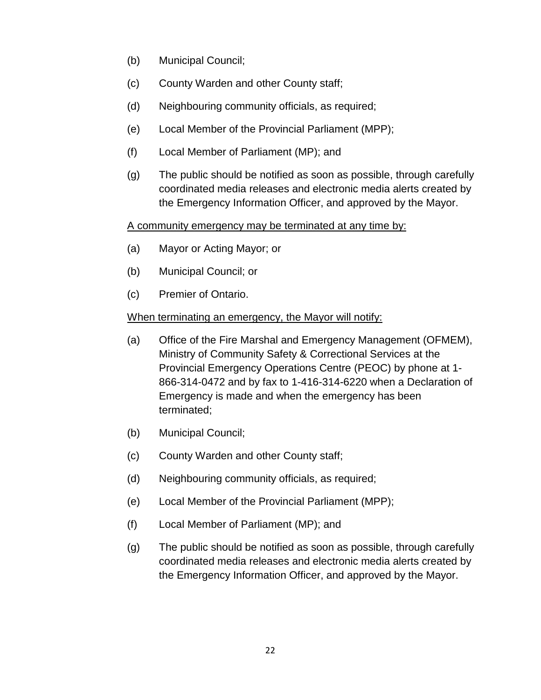- (b) Municipal Council;
- (c) County Warden and other County staff;
- (d) Neighbouring community officials, as required;
- (e) Local Member of the Provincial Parliament (MPP);
- (f) Local Member of Parliament (MP); and
- (g) The public should be notified as soon as possible, through carefully coordinated media releases and electronic media alerts created by the Emergency Information Officer, and approved by the Mayor.

#### A community emergency may be terminated at any time by:

- (a) Mayor or Acting Mayor; or
- (b) Municipal Council; or
- (c) Premier of Ontario.

#### When terminating an emergency, the Mayor will notify:

- (a) Office of the Fire Marshal and Emergency Management (OFMEM), Ministry of Community Safety & Correctional Services at the Provincial Emergency Operations Centre (PEOC) by phone at 1- 866-314-0472 and by fax to 1-416-314-6220 when a Declaration of Emergency is made and when the emergency has been terminated;
- (b) Municipal Council;
- (c) County Warden and other County staff;
- (d) Neighbouring community officials, as required;
- (e) Local Member of the Provincial Parliament (MPP);
- (f) Local Member of Parliament (MP); and
- (g) The public should be notified as soon as possible, through carefully coordinated media releases and electronic media alerts created by the Emergency Information Officer, and approved by the Mayor.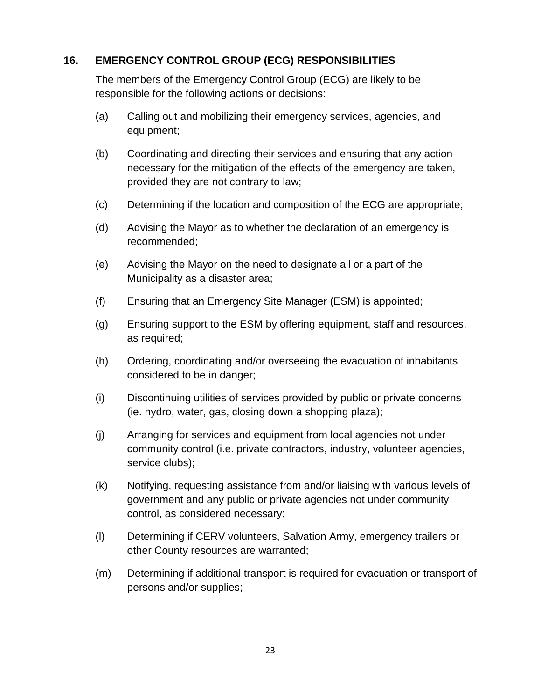#### <span id="page-22-0"></span>**16. EMERGENCY CONTROL GROUP (ECG) RESPONSIBILITIES**

The members of the Emergency Control Group (ECG) are likely to be responsible for the following actions or decisions:

- (a) Calling out and mobilizing their emergency services, agencies, and equipment;
- (b) Coordinating and directing their services and ensuring that any action necessary for the mitigation of the effects of the emergency are taken, provided they are not contrary to law;
- (c) Determining if the location and composition of the ECG are appropriate;
- (d) Advising the Mayor as to whether the declaration of an emergency is recommended;
- (e) Advising the Mayor on the need to designate all or a part of the Municipality as a disaster area;
- (f) Ensuring that an Emergency Site Manager (ESM) is appointed;
- (g) Ensuring support to the ESM by offering equipment, staff and resources, as required;
- (h) Ordering, coordinating and/or overseeing the evacuation of inhabitants considered to be in danger;
- (i) Discontinuing utilities of services provided by public or private concerns (ie. hydro, water, gas, closing down a shopping plaza);
- (j) Arranging for services and equipment from local agencies not under community control (i.e. private contractors, industry, volunteer agencies, service clubs);
- (k) Notifying, requesting assistance from and/or liaising with various levels of government and any public or private agencies not under community control, as considered necessary;
- (l) Determining if CERV volunteers, Salvation Army, emergency trailers or other County resources are warranted;
- (m) Determining if additional transport is required for evacuation or transport of persons and/or supplies;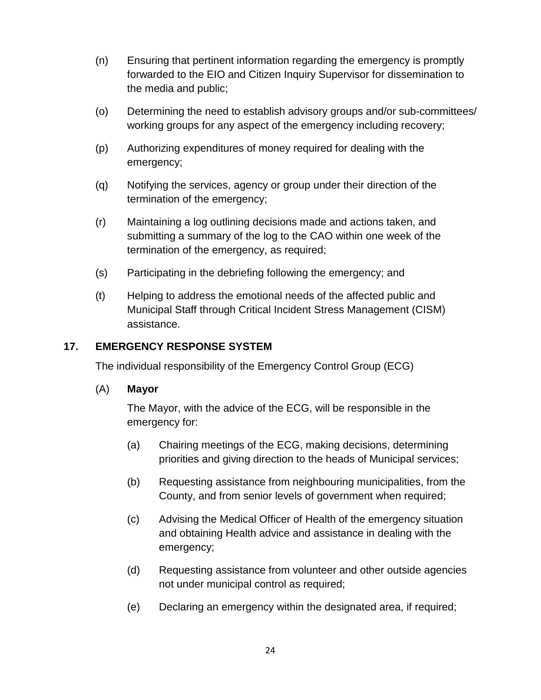- (n) Ensuring that pertinent information regarding the emergency is promptly forwarded to the EIO and Citizen Inquiry Supervisor for dissemination to the media and public;
- (o) Determining the need to establish advisory groups and/or sub-committees/ working groups for any aspect of the emergency including recovery;
- (p) Authorizing expenditures of money required for dealing with the emergency;
- (q) Notifying the services, agency or group under their direction of the termination of the emergency;
- (r) Maintaining a log outlining decisions made and actions taken, and submitting a summary of the log to the CAO within one week of the termination of the emergency, as required;
- (s) Participating in the debriefing following the emergency; and
- (t) Helping to address the emotional needs of the affected public and Municipal Staff through Critical Incident Stress Management (CISM) assistance.

#### <span id="page-23-0"></span>**17. EMERGENCY RESPONSE SYSTEM**

The individual responsibility of the Emergency Control Group (ECG)

#### <span id="page-23-1"></span>(A) **Mayor**

The Mayor, with the advice of the ECG, will be responsible in the emergency for:

- (a) Chairing meetings of the ECG, making decisions, determining priorities and giving direction to the heads of Municipal services;
- (b) Requesting assistance from neighbouring municipalities, from the County, and from senior levels of government when required;
- (c) Advising the Medical Officer of Health of the emergency situation and obtaining Health advice and assistance in dealing with the emergency;
- (d) Requesting assistance from volunteer and other outside agencies not under municipal control as required;
- (e) Declaring an emergency within the designated area, if required;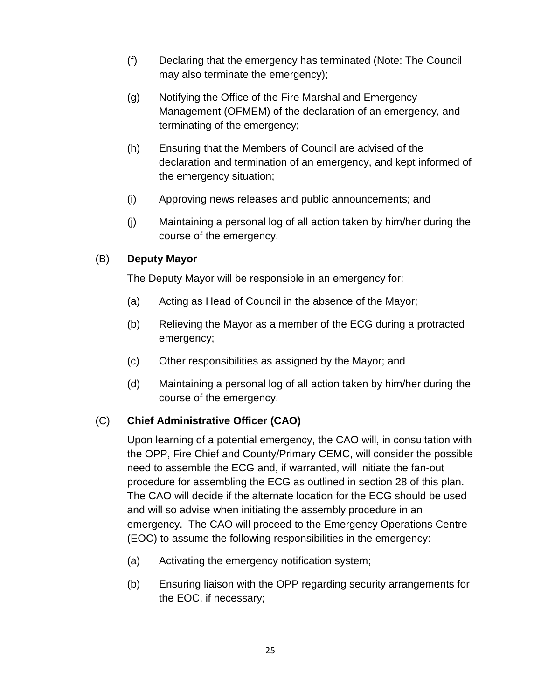- (f) Declaring that the emergency has terminated (Note: The Council may also terminate the emergency);
- (g) Notifying the Office of the Fire Marshal and Emergency Management (OFMEM) of the declaration of an emergency, and terminating of the emergency;
- (h) Ensuring that the Members of Council are advised of the declaration and termination of an emergency, and kept informed of the emergency situation;
- (i) Approving news releases and public announcements; and
- (j) Maintaining a personal log of all action taken by him/her during the course of the emergency.

#### <span id="page-24-0"></span>(B) **Deputy Mayor**

The Deputy Mayor will be responsible in an emergency for:

- (a) Acting as Head of Council in the absence of the Mayor;
- (b) Relieving the Mayor as a member of the ECG during a protracted emergency;
- (c) Other responsibilities as assigned by the Mayor; and
- (d) Maintaining a personal log of all action taken by him/her during the course of the emergency.

#### <span id="page-24-1"></span>(C) **Chief Administrative Officer (CAO)**

Upon learning of a potential emergency, the CAO will, in consultation with the OPP, Fire Chief and County/Primary CEMC, will consider the possible need to assemble the ECG and, if warranted, will initiate the fan-out procedure for assembling the ECG as outlined in section 28 of this plan. The CAO will decide if the alternate location for the ECG should be used and will so advise when initiating the assembly procedure in an emergency. The CAO will proceed to the Emergency Operations Centre (EOC) to assume the following responsibilities in the emergency:

- (a) Activating the emergency notification system;
- (b) Ensuring liaison with the OPP regarding security arrangements for the EOC, if necessary;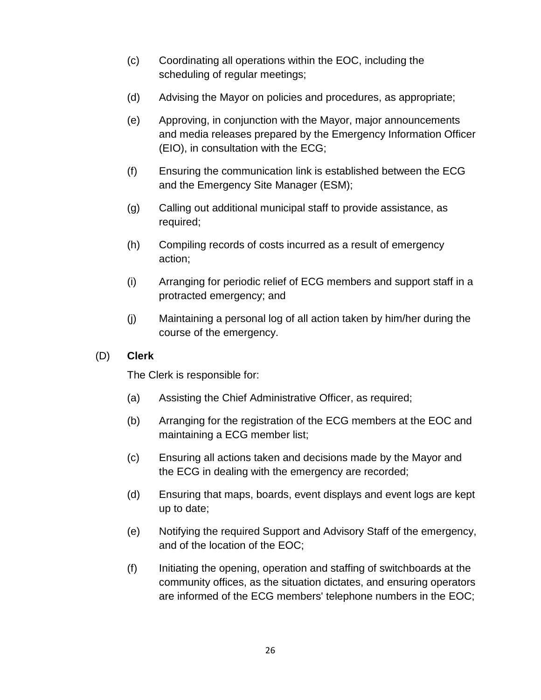- (c) Coordinating all operations within the EOC, including the scheduling of regular meetings;
- (d) Advising the Mayor on policies and procedures, as appropriate;
- (e) Approving, in conjunction with the Mayor, major announcements and media releases prepared by the Emergency Information Officer (EIO), in consultation with the ECG;
- (f) Ensuring the communication link is established between the ECG and the Emergency Site Manager (ESM);
- (g) Calling out additional municipal staff to provide assistance, as required;
- (h) Compiling records of costs incurred as a result of emergency action;
- (i) Arranging for periodic relief of ECG members and support staff in a protracted emergency; and
- (j) Maintaining a personal log of all action taken by him/her during the course of the emergency.
- <span id="page-25-0"></span>(D) **Clerk**

The Clerk is responsible for:

- (a) Assisting the Chief Administrative Officer, as required;
- (b) Arranging for the registration of the ECG members at the EOC and maintaining a ECG member list;
- (c) Ensuring all actions taken and decisions made by the Mayor and the ECG in dealing with the emergency are recorded;
- (d) Ensuring that maps, boards, event displays and event logs are kept up to date;
- (e) Notifying the required Support and Advisory Staff of the emergency, and of the location of the EOC;
- (f) Initiating the opening, operation and staffing of switchboards at the community offices, as the situation dictates, and ensuring operators are informed of the ECG members' telephone numbers in the EOC;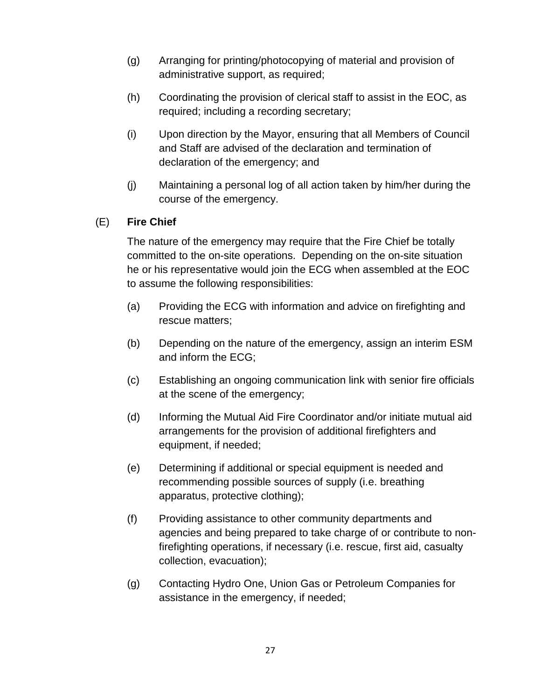- (g) Arranging for printing/photocopying of material and provision of administrative support, as required;
- (h) Coordinating the provision of clerical staff to assist in the EOC, as required; including a recording secretary;
- (i) Upon direction by the Mayor, ensuring that all Members of Council and Staff are advised of the declaration and termination of declaration of the emergency; and
- (j) Maintaining a personal log of all action taken by him/her during the course of the emergency.

#### <span id="page-26-0"></span>(E) **Fire Chief**

The nature of the emergency may require that the Fire Chief be totally committed to the on-site operations. Depending on the on-site situation he or his representative would join the ECG when assembled at the EOC to assume the following responsibilities:

- (a) Providing the ECG with information and advice on firefighting and rescue matters;
- (b) Depending on the nature of the emergency, assign an interim ESM and inform the ECG;
- (c) Establishing an ongoing communication link with senior fire officials at the scene of the emergency;
- (d) Informing the Mutual Aid Fire Coordinator and/or initiate mutual aid arrangements for the provision of additional firefighters and equipment, if needed;
- (e) Determining if additional or special equipment is needed and recommending possible sources of supply (i.e. breathing apparatus, protective clothing);
- (f) Providing assistance to other community departments and agencies and being prepared to take charge of or contribute to nonfirefighting operations, if necessary (i.e. rescue, first aid, casualty collection, evacuation);
- (g) Contacting Hydro One, Union Gas or Petroleum Companies for assistance in the emergency, if needed;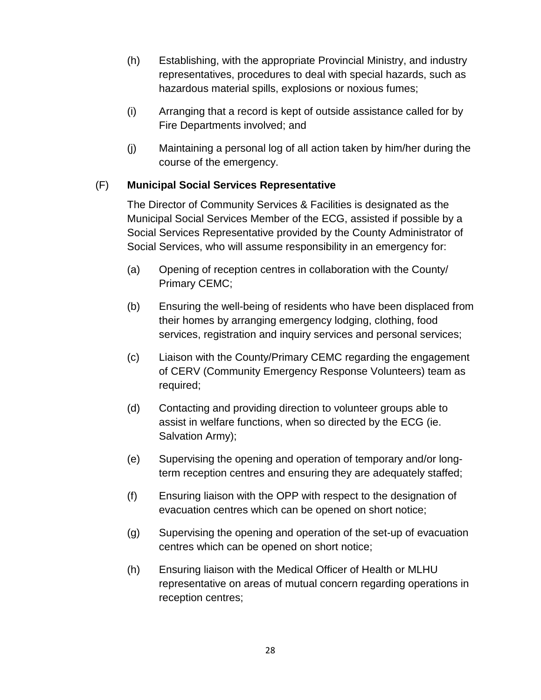- (h) Establishing, with the appropriate Provincial Ministry, and industry representatives, procedures to deal with special hazards, such as hazardous material spills, explosions or noxious fumes;
- (i) Arranging that a record is kept of outside assistance called for by Fire Departments involved; and
- (j) Maintaining a personal log of all action taken by him/her during the course of the emergency.

#### <span id="page-27-0"></span>(F) **Municipal Social Services Representative**

The Director of Community Services & Facilities is designated as the Municipal Social Services Member of the ECG, assisted if possible by a Social Services Representative provided by the County Administrator of Social Services, who will assume responsibility in an emergency for:

- (a) Opening of reception centres in collaboration with the County/ Primary CEMC;
- (b) Ensuring the well-being of residents who have been displaced from their homes by arranging emergency lodging, clothing, food services, registration and inquiry services and personal services;
- (c) Liaison with the County/Primary CEMC regarding the engagement of CERV (Community Emergency Response Volunteers) team as required;
- (d) Contacting and providing direction to volunteer groups able to assist in welfare functions, when so directed by the ECG (ie. Salvation Army);
- (e) Supervising the opening and operation of temporary and/or longterm reception centres and ensuring they are adequately staffed;
- (f) Ensuring liaison with the OPP with respect to the designation of evacuation centres which can be opened on short notice;
- (g) Supervising the opening and operation of the set-up of evacuation centres which can be opened on short notice;
- (h) Ensuring liaison with the Medical Officer of Health or MLHU representative on areas of mutual concern regarding operations in reception centres;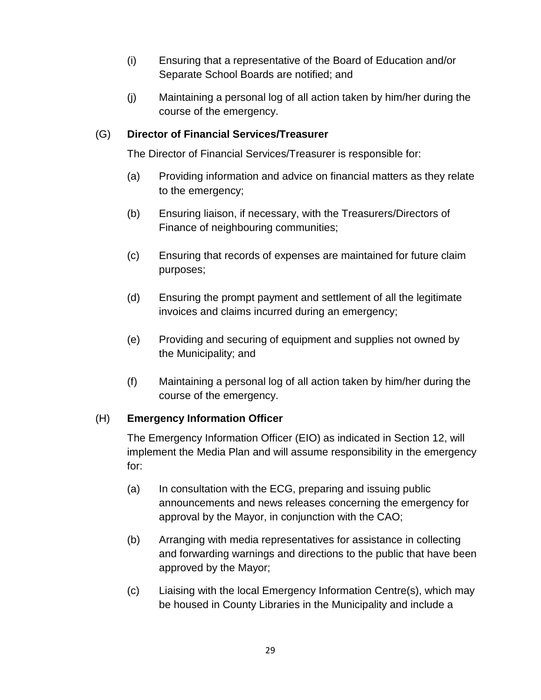- (i) Ensuring that a representative of the Board of Education and/or Separate School Boards are notified; and
- (j) Maintaining a personal log of all action taken by him/her during the course of the emergency.

#### <span id="page-28-0"></span>(G) **Director of Financial Services/Treasurer**

The Director of Financial Services/Treasurer is responsible for:

- (a) Providing information and advice on financial matters as they relate to the emergency;
- (b) Ensuring liaison, if necessary, with the Treasurers/Directors of Finance of neighbouring communities;
- (c) Ensuring that records of expenses are maintained for future claim purposes;
- (d) Ensuring the prompt payment and settlement of all the legitimate invoices and claims incurred during an emergency;
- (e) Providing and securing of equipment and supplies not owned by the Municipality; and
- (f) Maintaining a personal log of all action taken by him/her during the course of the emergency.

#### <span id="page-28-1"></span>(H) **Emergency Information Officer**

The Emergency Information Officer (EIO) as indicated in Section 12, will implement the Media Plan and will assume responsibility in the emergency for:

- (a) In consultation with the ECG, preparing and issuing public announcements and news releases concerning the emergency for approval by the Mayor, in conjunction with the CAO;
- (b) Arranging with media representatives for assistance in collecting and forwarding warnings and directions to the public that have been approved by the Mayor;
- (c) Liaising with the local Emergency Information Centre(s), which may be housed in County Libraries in the Municipality and include a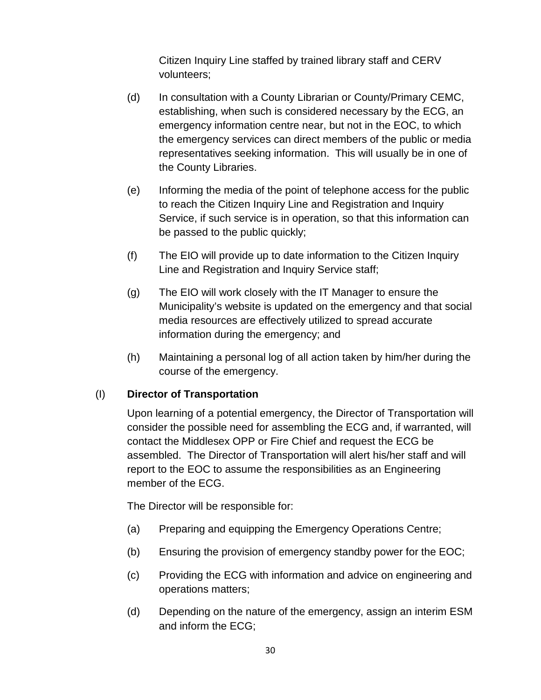Citizen Inquiry Line staffed by trained library staff and CERV volunteers;

- (d) In consultation with a County Librarian or County/Primary CEMC, establishing, when such is considered necessary by the ECG, an emergency information centre near, but not in the EOC, to which the emergency services can direct members of the public or media representatives seeking information. This will usually be in one of the County Libraries.
- (e) Informing the media of the point of telephone access for the public to reach the Citizen Inquiry Line and Registration and Inquiry Service, if such service is in operation, so that this information can be passed to the public quickly;
- (f) The EIO will provide up to date information to the Citizen Inquiry Line and Registration and Inquiry Service staff;
- (g) The EIO will work closely with the IT Manager to ensure the Municipality's website is updated on the emergency and that social media resources are effectively utilized to spread accurate information during the emergency; and
- (h) Maintaining a personal log of all action taken by him/her during the course of the emergency.

#### <span id="page-29-0"></span>(I) **Director of Transportation**

Upon learning of a potential emergency, the Director of Transportation will consider the possible need for assembling the ECG and, if warranted, will contact the Middlesex OPP or Fire Chief and request the ECG be assembled. The Director of Transportation will alert his/her staff and will report to the EOC to assume the responsibilities as an Engineering member of the ECG.

The Director will be responsible for:

- (a) Preparing and equipping the Emergency Operations Centre;
- (b) Ensuring the provision of emergency standby power for the EOC;
- (c) Providing the ECG with information and advice on engineering and operations matters;
- (d) Depending on the nature of the emergency, assign an interim ESM and inform the ECG;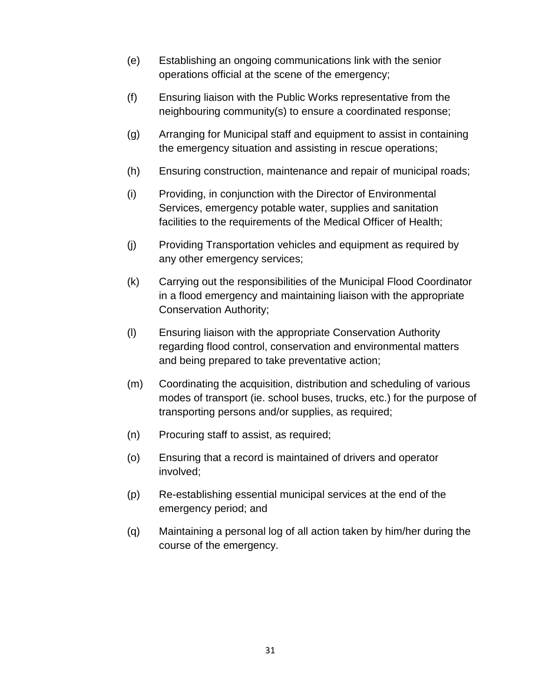- (e) Establishing an ongoing communications link with the senior operations official at the scene of the emergency;
- (f) Ensuring liaison with the Public Works representative from the neighbouring community(s) to ensure a coordinated response;
- (g) Arranging for Municipal staff and equipment to assist in containing the emergency situation and assisting in rescue operations;
- (h) Ensuring construction, maintenance and repair of municipal roads;
- (i) Providing, in conjunction with the Director of Environmental Services, emergency potable water, supplies and sanitation facilities to the requirements of the Medical Officer of Health;
- (j) Providing Transportation vehicles and equipment as required by any other emergency services;
- (k) Carrying out the responsibilities of the Municipal Flood Coordinator in a flood emergency and maintaining liaison with the appropriate Conservation Authority;
- (l) Ensuring liaison with the appropriate Conservation Authority regarding flood control, conservation and environmental matters and being prepared to take preventative action;
- (m) Coordinating the acquisition, distribution and scheduling of various modes of transport (ie. school buses, trucks, etc.) for the purpose of transporting persons and/or supplies, as required;
- (n) Procuring staff to assist, as required;
- (o) Ensuring that a record is maintained of drivers and operator involved;
- (p) Re-establishing essential municipal services at the end of the emergency period; and
- (q) Maintaining a personal log of all action taken by him/her during the course of the emergency.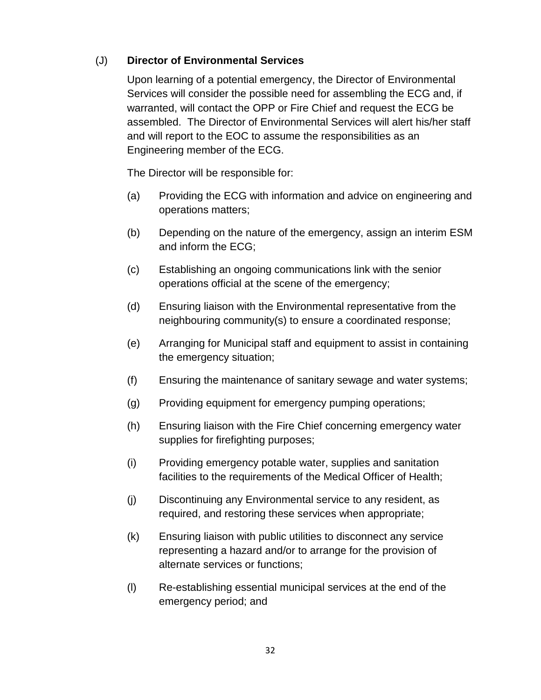#### <span id="page-31-0"></span>(J) **Director of Environmental Services**

Upon learning of a potential emergency, the Director of Environmental Services will consider the possible need for assembling the ECG and, if warranted, will contact the OPP or Fire Chief and request the ECG be assembled. The Director of Environmental Services will alert his/her staff and will report to the EOC to assume the responsibilities as an Engineering member of the ECG.

The Director will be responsible for:

- (a) Providing the ECG with information and advice on engineering and operations matters;
- (b) Depending on the nature of the emergency, assign an interim ESM and inform the ECG;
- (c) Establishing an ongoing communications link with the senior operations official at the scene of the emergency;
- (d) Ensuring liaison with the Environmental representative from the neighbouring community(s) to ensure a coordinated response;
- (e) Arranging for Municipal staff and equipment to assist in containing the emergency situation;
- (f) Ensuring the maintenance of sanitary sewage and water systems;
- (g) Providing equipment for emergency pumping operations;
- (h) Ensuring liaison with the Fire Chief concerning emergency water supplies for firefighting purposes;
- (i) Providing emergency potable water, supplies and sanitation facilities to the requirements of the Medical Officer of Health;
- (j) Discontinuing any Environmental service to any resident, as required, and restoring these services when appropriate;
- (k) Ensuring liaison with public utilities to disconnect any service representing a hazard and/or to arrange for the provision of alternate services or functions;
- (l) Re-establishing essential municipal services at the end of the emergency period; and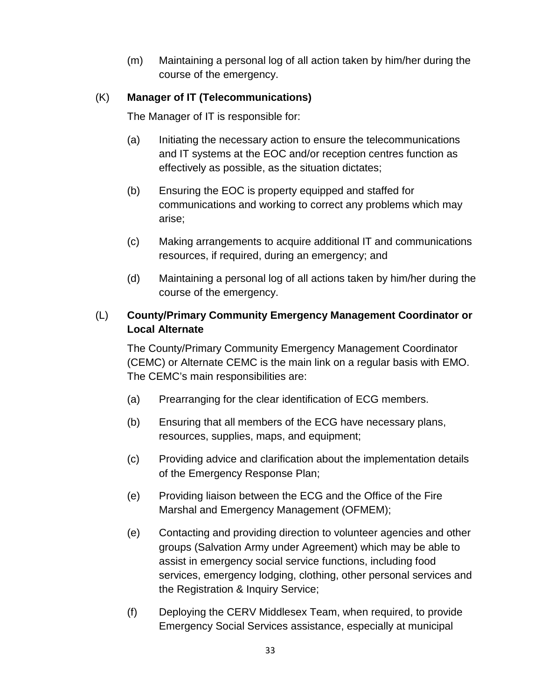(m) Maintaining a personal log of all action taken by him/her during the course of the emergency.

#### <span id="page-32-0"></span>(K) **Manager of IT (Telecommunications)**

The Manager of IT is responsible for:

- (a) Initiating the necessary action to ensure the telecommunications and IT systems at the EOC and/or reception centres function as effectively as possible, as the situation dictates;
- (b) Ensuring the EOC is property equipped and staffed for communications and working to correct any problems which may arise;
- (c) Making arrangements to acquire additional IT and communications resources, if required, during an emergency; and
- (d) Maintaining a personal log of all actions taken by him/her during the course of the emergency.

#### <span id="page-32-1"></span>(L) **County/Primary Community Emergency Management Coordinator or Local Alternate**

The County/Primary Community Emergency Management Coordinator (CEMC) or Alternate CEMC is the main link on a regular basis with EMO. The CEMC's main responsibilities are:

- (a) Prearranging for the clear identification of ECG members.
- (b) Ensuring that all members of the ECG have necessary plans, resources, supplies, maps, and equipment;
- (c) Providing advice and clarification about the implementation details of the Emergency Response Plan;
- (e) Providing liaison between the ECG and the Office of the Fire Marshal and Emergency Management (OFMEM);
- (e) Contacting and providing direction to volunteer agencies and other groups (Salvation Army under Agreement) which may be able to assist in emergency social service functions, including food services, emergency lodging, clothing, other personal services and the Registration & Inquiry Service;
- (f) Deploying the CERV Middlesex Team, when required, to provide Emergency Social Services assistance, especially at municipal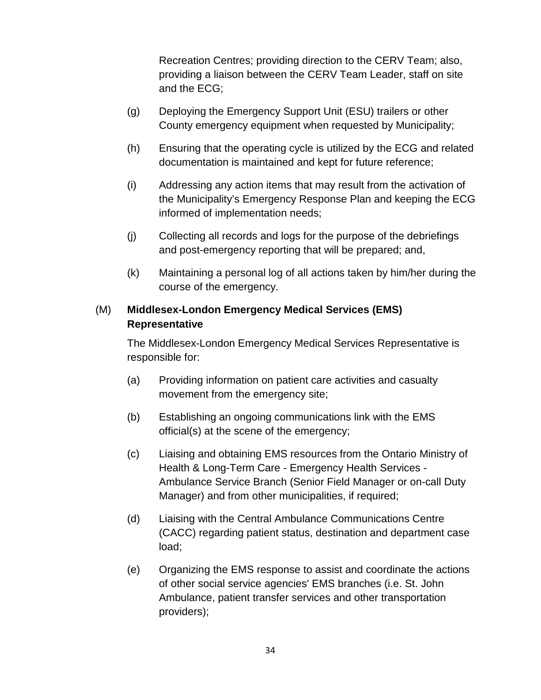Recreation Centres; providing direction to the CERV Team; also, providing a liaison between the CERV Team Leader, staff on site and the ECG;

- (g) Deploying the Emergency Support Unit (ESU) trailers or other County emergency equipment when requested by Municipality;
- (h) Ensuring that the operating cycle is utilized by the ECG and related documentation is maintained and kept for future reference;
- (i) Addressing any action items that may result from the activation of the Municipality's Emergency Response Plan and keeping the ECG informed of implementation needs;
- (j) Collecting all records and logs for the purpose of the debriefings and post-emergency reporting that will be prepared; and,
- (k) Maintaining a personal log of all actions taken by him/her during the course of the emergency.

#### <span id="page-33-0"></span>(M) **Middlesex-London Emergency Medical Services (EMS) Representative**

The Middlesex-London Emergency Medical Services Representative is responsible for:

- (a) Providing information on patient care activities and casualty movement from the emergency site;
- (b) Establishing an ongoing communications link with the EMS official(s) at the scene of the emergency;
- (c) Liaising and obtaining EMS resources from the Ontario Ministry of Health & Long-Term Care - Emergency Health Services - Ambulance Service Branch (Senior Field Manager or on-call Duty Manager) and from other municipalities, if required;
- (d) Liaising with the Central Ambulance Communications Centre (CACC) regarding patient status, destination and department case load;
- (e) Organizing the EMS response to assist and coordinate the actions of other social service agencies' EMS branches (i.e. St. John Ambulance, patient transfer services and other transportation providers);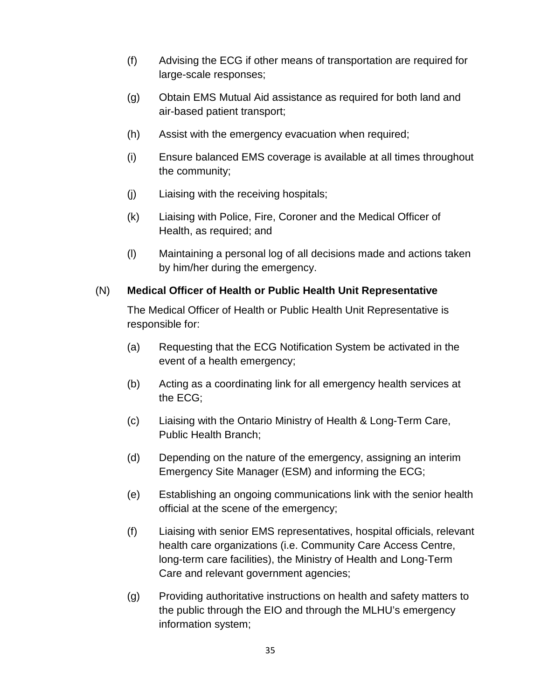- (f) Advising the ECG if other means of transportation are required for large-scale responses;
- (g) Obtain EMS Mutual Aid assistance as required for both land and air-based patient transport;
- (h) Assist with the emergency evacuation when required;
- (i) Ensure balanced EMS coverage is available at all times throughout the community;
- (j) Liaising with the receiving hospitals;
- (k) Liaising with Police, Fire, Coroner and the Medical Officer of Health, as required; and
- (l) Maintaining a personal log of all decisions made and actions taken by him/her during the emergency.

#### <span id="page-34-0"></span>(N) **Medical Officer of Health or Public Health Unit Representative**

The Medical Officer of Health or Public Health Unit Representative is responsible for:

- (a) Requesting that the ECG Notification System be activated in the event of a health emergency;
- (b) Acting as a coordinating link for all emergency health services at the ECG;
- (c) Liaising with the Ontario Ministry of Health & Long-Term Care, Public Health Branch;
- (d) Depending on the nature of the emergency, assigning an interim Emergency Site Manager (ESM) and informing the ECG;
- (e) Establishing an ongoing communications link with the senior health official at the scene of the emergency;
- (f) Liaising with senior EMS representatives, hospital officials, relevant health care organizations (i.e. Community Care Access Centre, long-term care facilities), the Ministry of Health and Long-Term Care and relevant government agencies;
- (g) Providing authoritative instructions on health and safety matters to the public through the EIO and through the MLHU's emergency information system;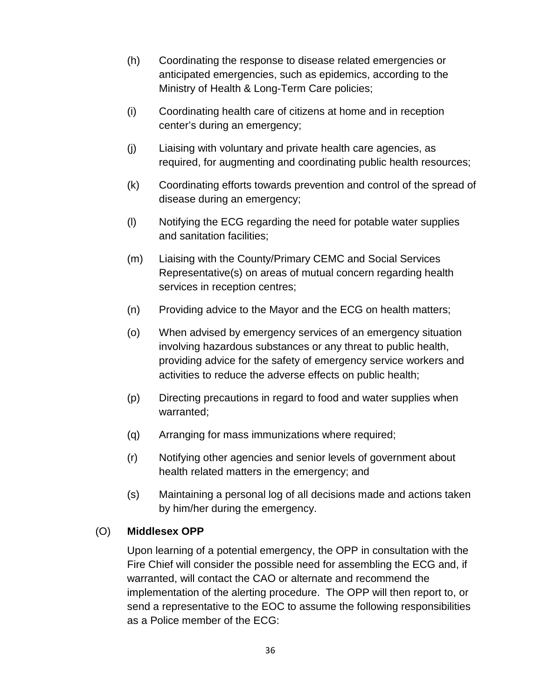- (h) Coordinating the response to disease related emergencies or anticipated emergencies, such as epidemics, according to the Ministry of Health & Long-Term Care policies;
- (i) Coordinating health care of citizens at home and in reception center's during an emergency;
- (j) Liaising with voluntary and private health care agencies, as required, for augmenting and coordinating public health resources;
- (k) Coordinating efforts towards prevention and control of the spread of disease during an emergency;
- (l) Notifying the ECG regarding the need for potable water supplies and sanitation facilities;
- (m) Liaising with the County/Primary CEMC and Social Services Representative(s) on areas of mutual concern regarding health services in reception centres;
- (n) Providing advice to the Mayor and the ECG on health matters;
- (o) When advised by emergency services of an emergency situation involving hazardous substances or any threat to public health, providing advice for the safety of emergency service workers and activities to reduce the adverse effects on public health;
- (p) Directing precautions in regard to food and water supplies when warranted;
- (q) Arranging for mass immunizations where required;
- (r) Notifying other agencies and senior levels of government about health related matters in the emergency; and
- (s) Maintaining a personal log of all decisions made and actions taken by him/her during the emergency.

#### <span id="page-35-0"></span>(O) **Middlesex OPP**

Upon learning of a potential emergency, the OPP in consultation with the Fire Chief will consider the possible need for assembling the ECG and, if warranted, will contact the CAO or alternate and recommend the implementation of the alerting procedure. The OPP will then report to, or send a representative to the EOC to assume the following responsibilities as a Police member of the ECG: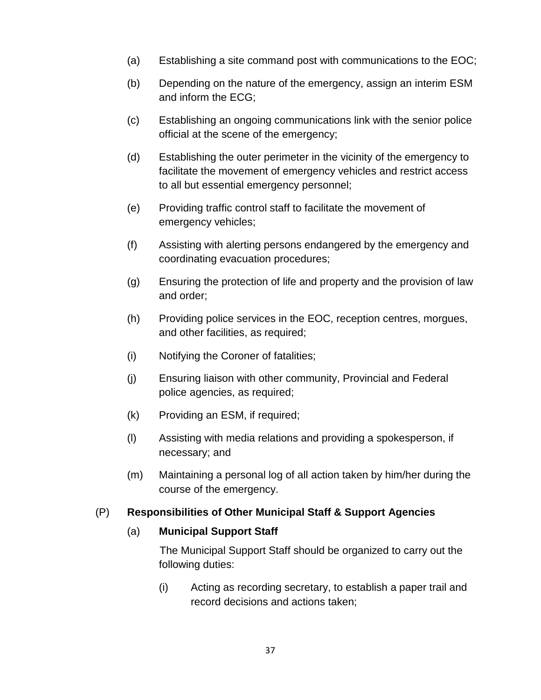- (a) Establishing a site command post with communications to the EOC;
- (b) Depending on the nature of the emergency, assign an interim ESM and inform the ECG;
- (c) Establishing an ongoing communications link with the senior police official at the scene of the emergency;
- (d) Establishing the outer perimeter in the vicinity of the emergency to facilitate the movement of emergency vehicles and restrict access to all but essential emergency personnel;
- (e) Providing traffic control staff to facilitate the movement of emergency vehicles;
- (f) Assisting with alerting persons endangered by the emergency and coordinating evacuation procedures;
- (g) Ensuring the protection of life and property and the provision of law and order;
- (h) Providing police services in the EOC, reception centres, morgues, and other facilities, as required;
- (i) Notifying the Coroner of fatalities;
- (j) Ensuring liaison with other community, Provincial and Federal police agencies, as required;
- (k) Providing an ESM, if required;
- (l) Assisting with media relations and providing a spokesperson, if necessary; and
- (m) Maintaining a personal log of all action taken by him/her during the course of the emergency.

#### <span id="page-36-1"></span><span id="page-36-0"></span>(P) **Responsibilities of Other Municipal Staff & Support Agencies**

#### (a) **Municipal Support Staff**

The Municipal Support Staff should be organized to carry out the following duties:

(i) Acting as recording secretary, to establish a paper trail and record decisions and actions taken;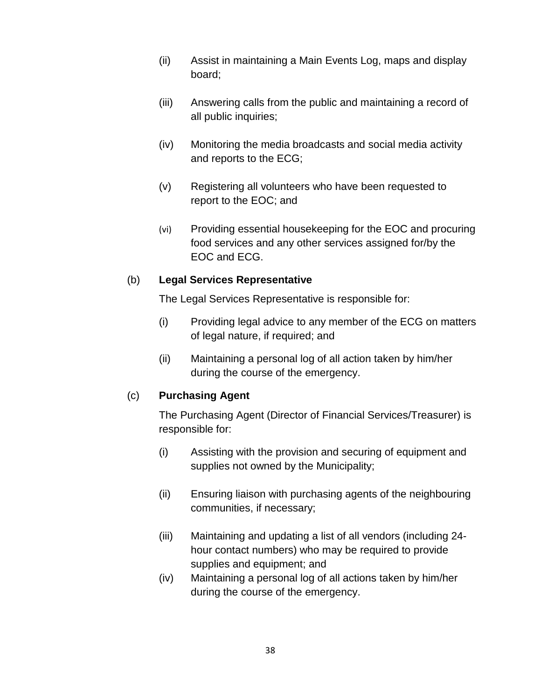- (ii) Assist in maintaining a Main Events Log, maps and display board;
- (iii) Answering calls from the public and maintaining a record of all public inquiries;
- (iv) Monitoring the media broadcasts and social media activity and reports to the ECG;
- (v) Registering all volunteers who have been requested to report to the EOC; and
- (vi) Providing essential housekeeping for the EOC and procuring food services and any other services assigned for/by the EOC and ECG.

#### <span id="page-37-0"></span>(b) **Legal Services Representative**

The Legal Services Representative is responsible for:

- (i) Providing legal advice to any member of the ECG on matters of legal nature, if required; and
- (ii) Maintaining a personal log of all action taken by him/her during the course of the emergency.

#### <span id="page-37-1"></span>(c) **Purchasing Agent**

The Purchasing Agent (Director of Financial Services/Treasurer) is responsible for:

- (i) Assisting with the provision and securing of equipment and supplies not owned by the Municipality;
- (ii) Ensuring liaison with purchasing agents of the neighbouring communities, if necessary;
- (iii) Maintaining and updating a list of all vendors (including 24 hour contact numbers) who may be required to provide supplies and equipment; and
- (iv) Maintaining a personal log of all actions taken by him/her during the course of the emergency.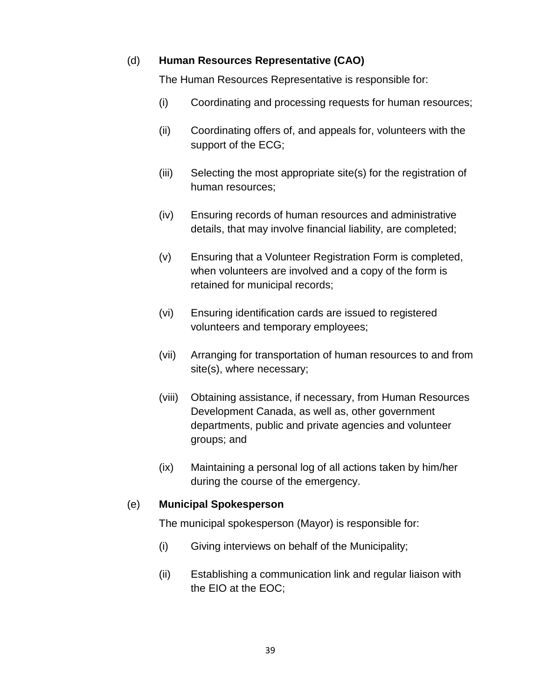#### <span id="page-38-0"></span>(d) **Human Resources Representative (CAO)**

The Human Resources Representative is responsible for:

- (i) Coordinating and processing requests for human resources;
- (ii) Coordinating offers of, and appeals for, volunteers with the support of the ECG;
- (iii) Selecting the most appropriate site(s) for the registration of human resources;
- (iv) Ensuring records of human resources and administrative details, that may involve financial liability, are completed;
- (v) Ensuring that a Volunteer Registration Form is completed, when volunteers are involved and a copy of the form is retained for municipal records;
- (vi) Ensuring identification cards are issued to registered volunteers and temporary employees;
- (vii) Arranging for transportation of human resources to and from site(s), where necessary;
- (viii) Obtaining assistance, if necessary, from Human Resources Development Canada, as well as, other government departments, public and private agencies and volunteer groups; and
- (ix) Maintaining a personal log of all actions taken by him/her during the course of the emergency.

#### <span id="page-38-1"></span>(e) **Municipal Spokesperson**

The municipal spokesperson (Mayor) is responsible for:

- (i) Giving interviews on behalf of the Municipality;
- (ii) Establishing a communication link and regular liaison with the EIO at the EOC;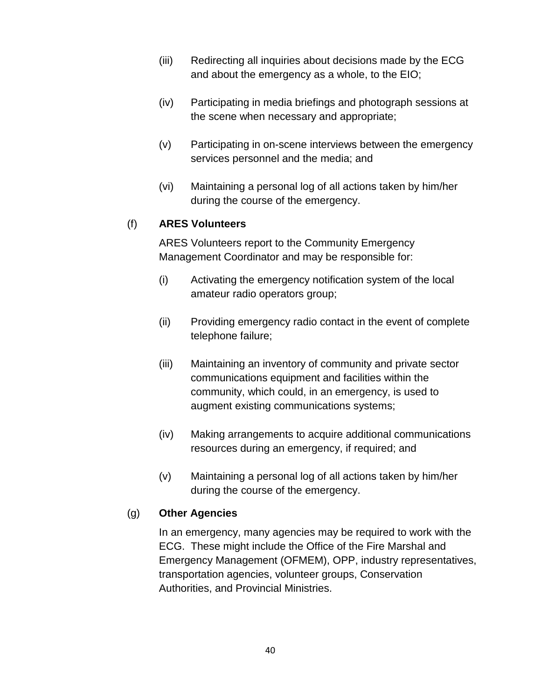- (iii) Redirecting all inquiries about decisions made by the ECG and about the emergency as a whole, to the EIO;
- (iv) Participating in media briefings and photograph sessions at the scene when necessary and appropriate;
- (v) Participating in on-scene interviews between the emergency services personnel and the media; and
- (vi) Maintaining a personal log of all actions taken by him/her during the course of the emergency.

#### <span id="page-39-0"></span>(f) **ARES Volunteers**

ARES Volunteers report to the Community Emergency Management Coordinator and may be responsible for:

- (i) Activating the emergency notification system of the local amateur radio operators group;
- (ii) Providing emergency radio contact in the event of complete telephone failure;
- (iii) Maintaining an inventory of community and private sector communications equipment and facilities within the community, which could, in an emergency, is used to augment existing communications systems;
- (iv) Making arrangements to acquire additional communications resources during an emergency, if required; and
- (v) Maintaining a personal log of all actions taken by him/her during the course of the emergency.

#### <span id="page-39-1"></span>(g) **Other Agencies**

In an emergency, many agencies may be required to work with the ECG. These might include the Office of the Fire Marshal and Emergency Management (OFMEM), OPP, industry representatives, transportation agencies, volunteer groups, Conservation Authorities, and Provincial Ministries.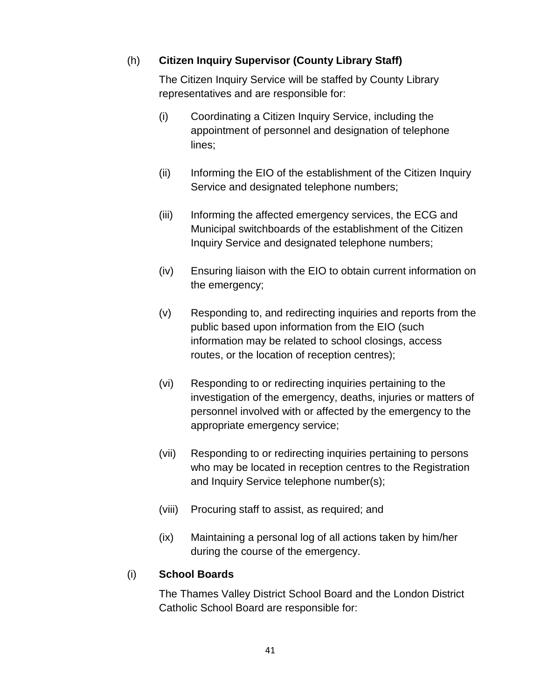#### <span id="page-40-0"></span>(h) **Citizen Inquiry Supervisor (County Library Staff)**

The Citizen Inquiry Service will be staffed by County Library representatives and are responsible for:

- (i) Coordinating a Citizen Inquiry Service, including the appointment of personnel and designation of telephone lines;
- (ii) Informing the EIO of the establishment of the Citizen Inquiry Service and designated telephone numbers;
- (iii) Informing the affected emergency services, the ECG and Municipal switchboards of the establishment of the Citizen Inquiry Service and designated telephone numbers;
- (iv) Ensuring liaison with the EIO to obtain current information on the emergency;
- (v) Responding to, and redirecting inquiries and reports from the public based upon information from the EIO (such information may be related to school closings, access routes, or the location of reception centres);
- (vi) Responding to or redirecting inquiries pertaining to the investigation of the emergency, deaths, injuries or matters of personnel involved with or affected by the emergency to the appropriate emergency service;
- (vii) Responding to or redirecting inquiries pertaining to persons who may be located in reception centres to the Registration and Inquiry Service telephone number(s);
- (viii) Procuring staff to assist, as required; and
- (ix) Maintaining a personal log of all actions taken by him/her during the course of the emergency.

#### <span id="page-40-1"></span>(i) **School Boards**

The Thames Valley District School Board and the London District Catholic School Board are responsible for: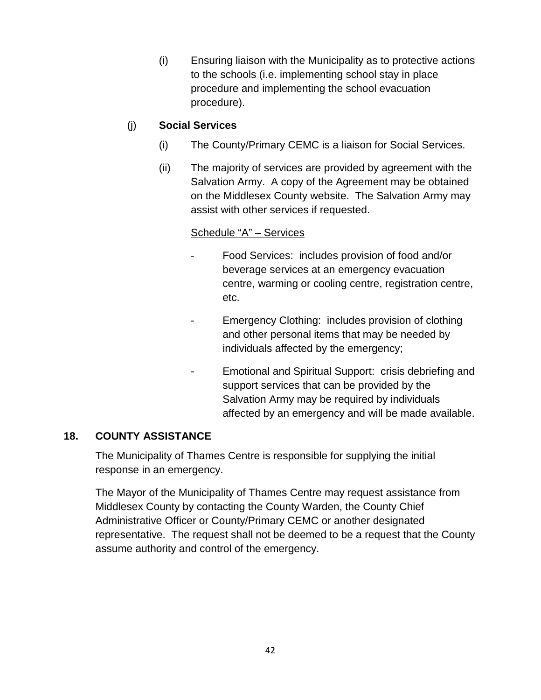(i) Ensuring liaison with the Municipality as to protective actions to the schools (i.e. implementing school stay in place procedure and implementing the school evacuation procedure).

#### <span id="page-41-0"></span>(j) **Social Services**

- (i) The County/Primary CEMC is a liaison for Social Services.
- (ii) The majority of services are provided by agreement with the Salvation Army. A copy of the Agreement may be obtained on the Middlesex County website. The Salvation Army may assist with other services if requested.

#### Schedule "A" – Services

- Food Services: includes provision of food and/or beverage services at an emergency evacuation centre, warming or cooling centre, registration centre, etc.
- Emergency Clothing: includes provision of clothing and other personal items that may be needed by individuals affected by the emergency;
- Emotional and Spiritual Support: crisis debriefing and support services that can be provided by the Salvation Army may be required by individuals affected by an emergency and will be made available.

#### <span id="page-41-1"></span>**18. COUNTY ASSISTANCE**

The Municipality of Thames Centre is responsible for supplying the initial response in an emergency.

The Mayor of the Municipality of Thames Centre may request assistance from Middlesex County by contacting the County Warden, the County Chief Administrative Officer or County/Primary CEMC or another designated representative. The request shall not be deemed to be a request that the County assume authority and control of the emergency.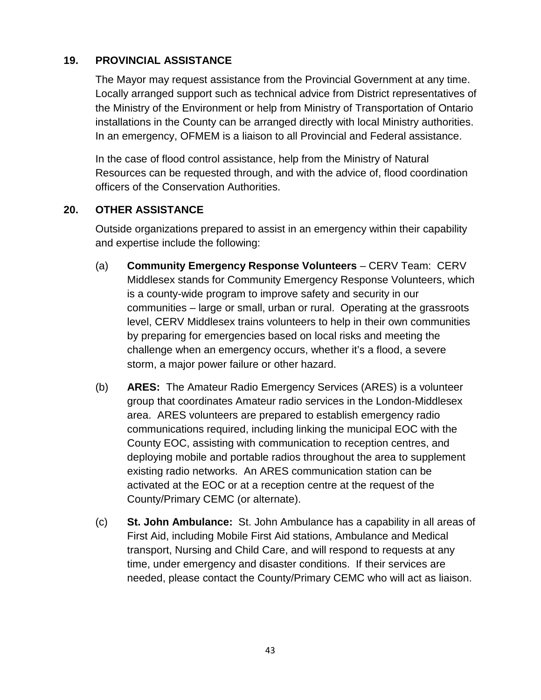#### <span id="page-42-0"></span>**19. PROVINCIAL ASSISTANCE**

The Mayor may request assistance from the Provincial Government at any time. Locally arranged support such as technical advice from District representatives of the Ministry of the Environment or help from Ministry of Transportation of Ontario installations in the County can be arranged directly with local Ministry authorities. In an emergency, OFMEM is a liaison to all Provincial and Federal assistance.

In the case of flood control assistance, help from the Ministry of Natural Resources can be requested through, and with the advice of, flood coordination officers of the Conservation Authorities.

#### <span id="page-42-1"></span>**20. OTHER ASSISTANCE**

Outside organizations prepared to assist in an emergency within their capability and expertise include the following:

- <span id="page-42-2"></span>(a) **Community Emergency Response Volunteers** – CERV Team: CERV Middlesex stands for Community Emergency Response Volunteers, which is a county-wide program to improve safety and security in our communities – large or small, urban or rural. Operating at the grassroots level, CERV Middlesex trains volunteers to help in their own communities by preparing for emergencies based on local risks and meeting the challenge when an emergency occurs, whether it's a flood, a severe storm, a major power failure or other hazard.
- <span id="page-42-3"></span>(b) **ARES:** The Amateur Radio Emergency Services (ARES) is a volunteer group that coordinates Amateur radio services in the London-Middlesex area. ARES volunteers are prepared to establish emergency radio communications required, including linking the municipal EOC with the County EOC, assisting with communication to reception centres, and deploying mobile and portable radios throughout the area to supplement existing radio networks. An ARES communication station can be activated at the EOC or at a reception centre at the request of the County/Primary CEMC (or alternate).
- <span id="page-42-4"></span>(c) **St. John Ambulance:** St. John Ambulance has a capability in all areas of First Aid, including Mobile First Aid stations, Ambulance and Medical transport, Nursing and Child Care, and will respond to requests at any time, under emergency and disaster conditions. If their services are needed, please contact the County/Primary CEMC who will act as liaison.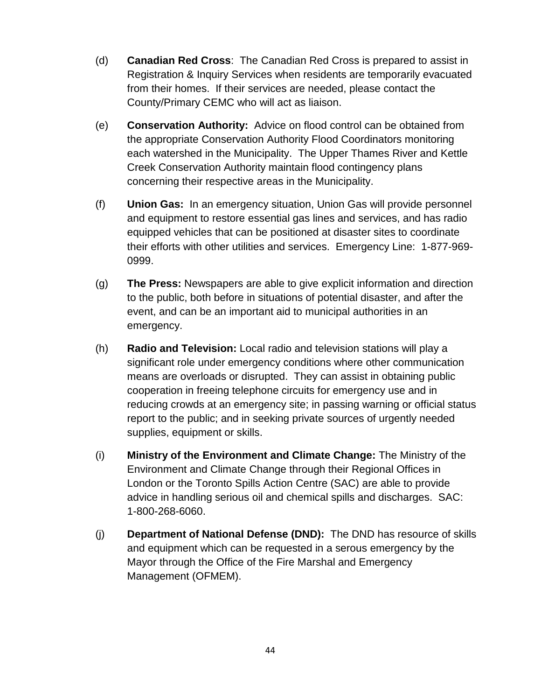- <span id="page-43-0"></span>(d) **Canadian Red Cross**: The Canadian Red Cross is prepared to assist in Registration & Inquiry Services when residents are temporarily evacuated from their homes. If their services are needed, please contact the County/Primary CEMC who will act as liaison.
- <span id="page-43-1"></span>(e) **Conservation Authority:** Advice on flood control can be obtained from the appropriate Conservation Authority Flood Coordinators monitoring each watershed in the Municipality. The Upper Thames River and Kettle Creek Conservation Authority maintain flood contingency plans concerning their respective areas in the Municipality.
- <span id="page-43-2"></span>(f) **Union Gas:** In an emergency situation, Union Gas will provide personnel and equipment to restore essential gas lines and services, and has radio equipped vehicles that can be positioned at disaster sites to coordinate their efforts with other utilities and services. Emergency Line: 1-877-969- 0999.
- <span id="page-43-3"></span>(g) **The Press:** Newspapers are able to give explicit information and direction to the public, both before in situations of potential disaster, and after the event, and can be an important aid to municipal authorities in an emergency.
- <span id="page-43-4"></span>(h) **Radio and Television:** Local radio and television stations will play a significant role under emergency conditions where other communication means are overloads or disrupted. They can assist in obtaining public cooperation in freeing telephone circuits for emergency use and in reducing crowds at an emergency site; in passing warning or official status report to the public; and in seeking private sources of urgently needed supplies, equipment or skills.
- <span id="page-43-5"></span>(i) **Ministry of the Environment and Climate Change:** The Ministry of the Environment and Climate Change through their Regional Offices in London or the Toronto Spills Action Centre (SAC) are able to provide advice in handling serious oil and chemical spills and discharges. SAC: 1-800-268-6060.
- <span id="page-43-6"></span>(j) **Department of National Defense (DND):** The DND has resource of skills and equipment which can be requested in a serous emergency by the Mayor through the Office of the Fire Marshal and Emergency Management (OFMEM).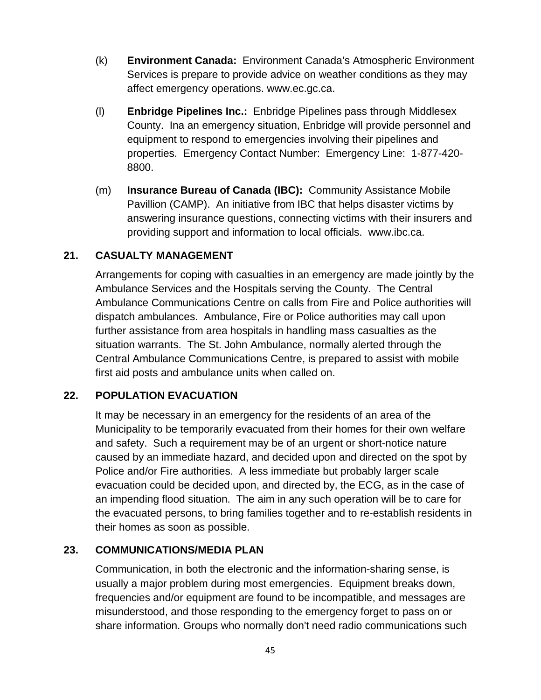- <span id="page-44-0"></span>(k) **Environment Canada:** Environment Canada's Atmospheric Environment Services is prepare to provide advice on weather conditions as they may affect emergency operations. www.ec.gc.ca.
- <span id="page-44-1"></span>(l) **Enbridge Pipelines Inc.:** Enbridge Pipelines pass through Middlesex County. Ina an emergency situation, Enbridge will provide personnel and equipment to respond to emergencies involving their pipelines and properties. Emergency Contact Number: Emergency Line: 1-877-420- 8800.
- <span id="page-44-2"></span>(m) **Insurance Bureau of Canada (IBC):** Community Assistance Mobile Pavillion (CAMP). An initiative from IBC that helps disaster victims by answering insurance questions, connecting victims with their insurers and providing support and information to local officials. www.ibc.ca.

#### <span id="page-44-3"></span>**21. CASUALTY MANAGEMENT**

Arrangements for coping with casualties in an emergency are made jointly by the Ambulance Services and the Hospitals serving the County. The Central Ambulance Communications Centre on calls from Fire and Police authorities will dispatch ambulances. Ambulance, Fire or Police authorities may call upon further assistance from area hospitals in handling mass casualties as the situation warrants. The St. John Ambulance, normally alerted through the Central Ambulance Communications Centre, is prepared to assist with mobile first aid posts and ambulance units when called on.

#### <span id="page-44-4"></span>**22. POPULATION EVACUATION**

It may be necessary in an emergency for the residents of an area of the Municipality to be temporarily evacuated from their homes for their own welfare and safety. Such a requirement may be of an urgent or short-notice nature caused by an immediate hazard, and decided upon and directed on the spot by Police and/or Fire authorities. A less immediate but probably larger scale evacuation could be decided upon, and directed by, the ECG, as in the case of an impending flood situation. The aim in any such operation will be to care for the evacuated persons, to bring families together and to re-establish residents in their homes as soon as possible.

#### <span id="page-44-5"></span>**23. COMMUNICATIONS/MEDIA PLAN**

Communication, in both the electronic and the information-sharing sense, is usually a major problem during most emergencies. Equipment breaks down, frequencies and/or equipment are found to be incompatible, and messages are misunderstood, and those responding to the emergency forget to pass on or share information. Groups who normally don't need radio communications such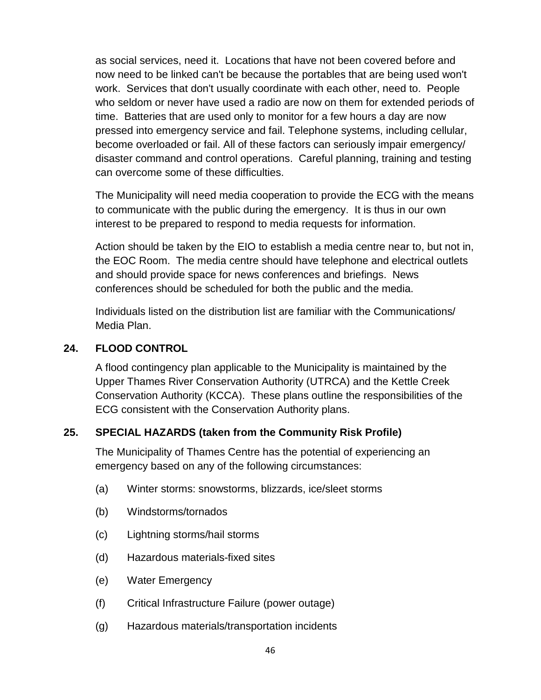as social services, need it. Locations that have not been covered before and now need to be linked can't be because the portables that are being used won't work. Services that don't usually coordinate with each other, need to. People who seldom or never have used a radio are now on them for extended periods of time. Batteries that are used only to monitor for a few hours a day are now pressed into emergency service and fail. Telephone systems, including cellular, become overloaded or fail. All of these factors can seriously impair emergency/ disaster command and control operations. Careful planning, training and testing can overcome some of these difficulties.

The Municipality will need media cooperation to provide the ECG with the means to communicate with the public during the emergency. It is thus in our own interest to be prepared to respond to media requests for information.

Action should be taken by the EIO to establish a media centre near to, but not in, the EOC Room. The media centre should have telephone and electrical outlets and should provide space for news conferences and briefings. News conferences should be scheduled for both the public and the media.

Individuals listed on the distribution list are familiar with the Communications/ Media Plan.

#### <span id="page-45-0"></span>**24. FLOOD CONTROL**

A flood contingency plan applicable to the Municipality is maintained by the Upper Thames River Conservation Authority (UTRCA) and the Kettle Creek Conservation Authority (KCCA). These plans outline the responsibilities of the ECG consistent with the Conservation Authority plans.

#### <span id="page-45-1"></span>**25. SPECIAL HAZARDS (taken from the Community Risk Profile)**

The Municipality of Thames Centre has the potential of experiencing an emergency based on any of the following circumstances:

- (a) Winter storms: snowstorms, blizzards, ice/sleet storms
- (b) Windstorms/tornados
- (c) Lightning storms/hail storms
- (d) Hazardous materials-fixed sites
- (e) Water Emergency
- (f) Critical Infrastructure Failure (power outage)
- (g) Hazardous materials/transportation incidents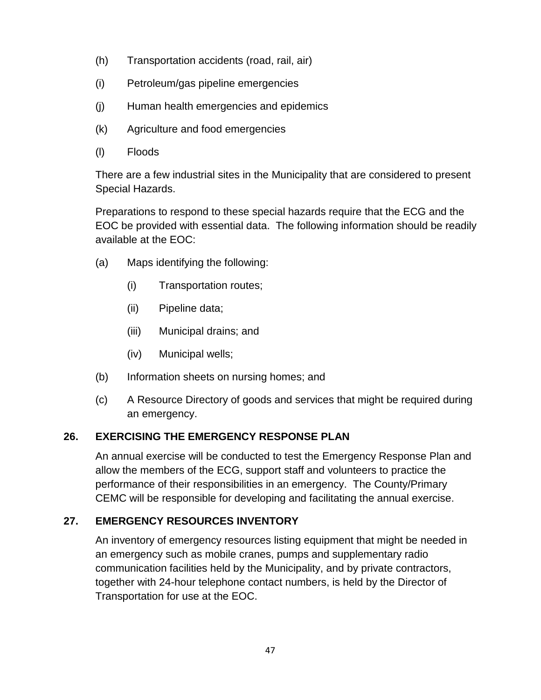- (h) Transportation accidents (road, rail, air)
- (i) Petroleum/gas pipeline emergencies
- (j) Human health emergencies and epidemics
- (k) Agriculture and food emergencies
- (l) Floods

There are a few industrial sites in the Municipality that are considered to present Special Hazards.

Preparations to respond to these special hazards require that the ECG and the EOC be provided with essential data. The following information should be readily available at the EOC:

- (a) Maps identifying the following:
	- (i) Transportation routes;
	- (ii) Pipeline data;
	- (iii) Municipal drains; and
	- (iv) Municipal wells;
- (b) Information sheets on nursing homes; and
- (c) A Resource Directory of goods and services that might be required during an emergency.

### <span id="page-46-0"></span>**26. EXERCISING THE EMERGENCY RESPONSE PLAN**

An annual exercise will be conducted to test the Emergency Response Plan and allow the members of the ECG, support staff and volunteers to practice the performance of their responsibilities in an emergency. The County/Primary CEMC will be responsible for developing and facilitating the annual exercise.

### <span id="page-46-1"></span>**27. EMERGENCY RESOURCES INVENTORY**

An inventory of emergency resources listing equipment that might be needed in an emergency such as mobile cranes, pumps and supplementary radio communication facilities held by the Municipality, and by private contractors, together with 24-hour telephone contact numbers, is held by the Director of Transportation for use at the EOC.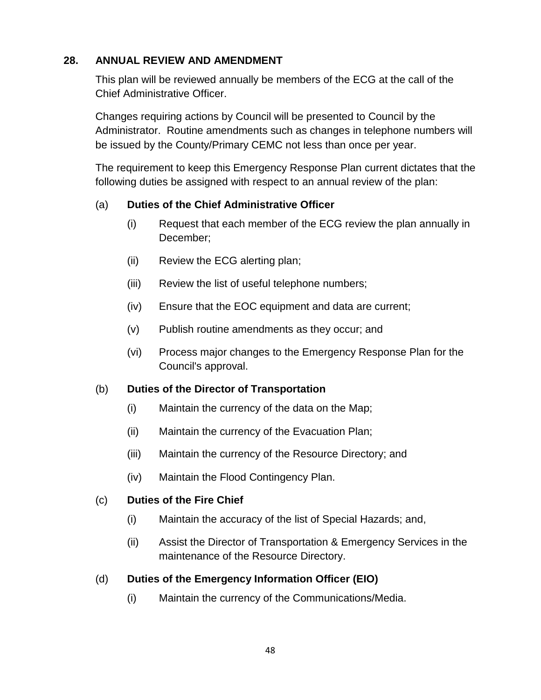#### <span id="page-47-0"></span>**28. ANNUAL REVIEW AND AMENDMENT**

This plan will be reviewed annually be members of the ECG at the call of the Chief Administrative Officer.

Changes requiring actions by Council will be presented to Council by the Administrator. Routine amendments such as changes in telephone numbers will be issued by the County/Primary CEMC not less than once per year.

The requirement to keep this Emergency Response Plan current dictates that the following duties be assigned with respect to an annual review of the plan:

#### <span id="page-47-1"></span>(a) **Duties of the Chief Administrative Officer**

- (i) Request that each member of the ECG review the plan annually in December;
- (ii) Review the ECG alerting plan;
- (iii) Review the list of useful telephone numbers;
- (iv) Ensure that the EOC equipment and data are current;
- (v) Publish routine amendments as they occur; and
- (vi) Process major changes to the Emergency Response Plan for the Council's approval.

#### <span id="page-47-2"></span>(b) **Duties of the Director of Transportation**

- (i) Maintain the currency of the data on the Map;
- (ii) Maintain the currency of the Evacuation Plan;
- (iii) Maintain the currency of the Resource Directory; and
- (iv) Maintain the Flood Contingency Plan.

#### <span id="page-47-3"></span>(c) **Duties of the Fire Chief**

- (i) Maintain the accuracy of the list of Special Hazards; and,
- (ii) Assist the Director of Transportation & Emergency Services in the maintenance of the Resource Directory.

#### <span id="page-47-4"></span>(d) **Duties of the Emergency Information Officer (EIO)**

(i) Maintain the currency of the Communications/Media.